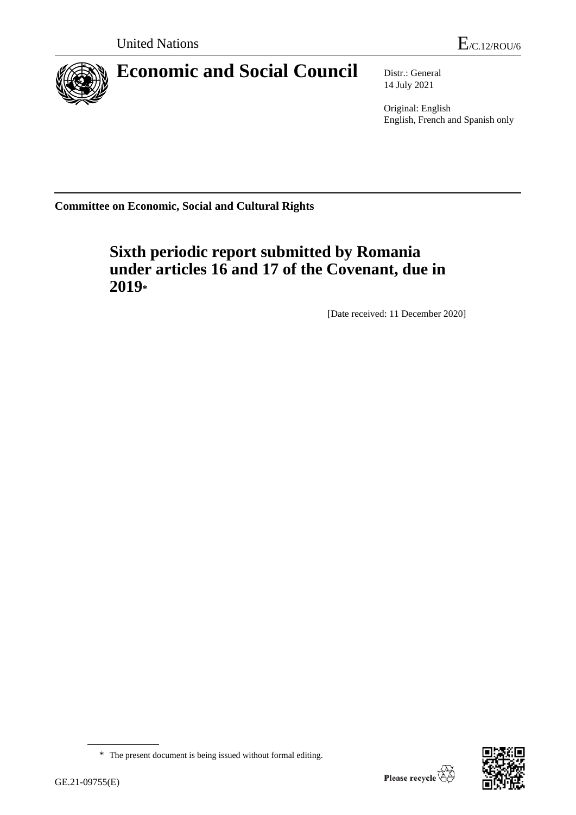

# **Economic and Social Council** Distr.: General

14 July 2021

Original: English English, French and Spanish only

**Committee on Economic, Social and Cultural Rights**

# **Sixth periodic report submitted by Romania under articles 16 and 17 of the Covenant, due in 2019\***

[Date received: 11 December 2020]



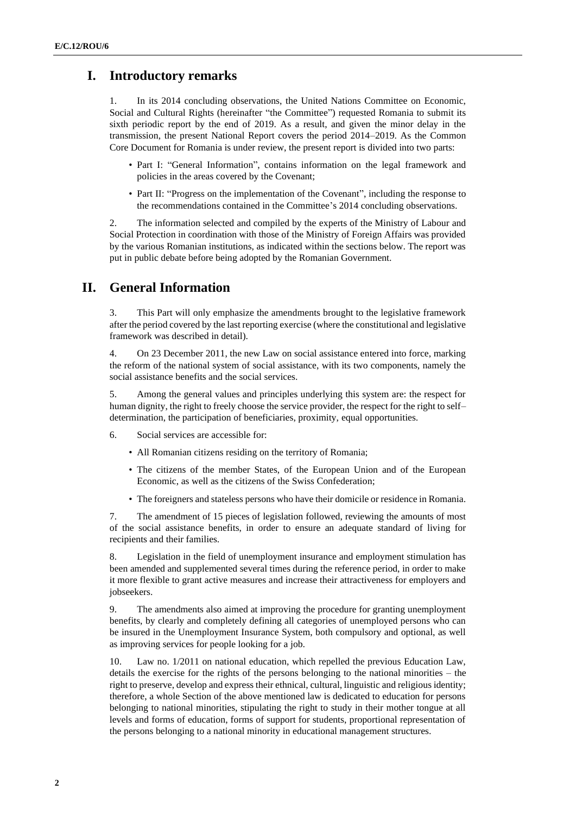# **I. Introductory remarks**

1. In its 2014 concluding observations, the United Nations Committee on Economic, Social and Cultural Rights (hereinafter "the Committee") requested Romania to submit its sixth periodic report by the end of 2019. As a result, and given the minor delay in the transmission, the present National Report covers the period 2014–2019. As the Common Core Document for Romania is under review, the present report is divided into two parts:

- Part I: "General Information", contains information on the legal framework and policies in the areas covered by the Covenant;
- Part II: "Progress on the implementation of the Covenant", including the response to the recommendations contained in the Committee's 2014 concluding observations.

2. The information selected and compiled by the experts of the Ministry of Labour and Social Protection in coordination with those of the Ministry of Foreign Affairs was provided by the various Romanian institutions, as indicated within the sections below. The report was put in public debate before being adopted by the Romanian Government.

# **II. General Information**

3. This Part will only emphasize the amendments brought to the legislative framework after the period covered by the last reporting exercise (where the constitutional and legislative framework was described in detail).

4. On 23 December 2011, the new Law on social assistance entered into force, marking the reform of the national system of social assistance, with its two components, namely the social assistance benefits and the social services.

5. Among the general values and principles underlying this system are: the respect for human dignity, the right to freely choose the service provider, the respect for the right to self– determination, the participation of beneficiaries, proximity, equal opportunities.

- 6. Social services are accessible for:
	- All Romanian citizens residing on the territory of Romania;
	- The citizens of the member States, of the European Union and of the European Economic, as well as the citizens of the Swiss Confederation;
	- The foreigners and stateless persons who have their domicile or residence in Romania.

7. The amendment of 15 pieces of legislation followed, reviewing the amounts of most of the social assistance benefits, in order to ensure an adequate standard of living for recipients and their families.

8. Legislation in the field of unemployment insurance and employment stimulation has been amended and supplemented several times during the reference period, in order to make it more flexible to grant active measures and increase their attractiveness for employers and jobseekers.

9. The amendments also aimed at improving the procedure for granting unemployment benefits, by clearly and completely defining all categories of unemployed persons who can be insured in the Unemployment Insurance System, both compulsory and optional, as well as improving services for people looking for a job.

10. Law no. 1/2011 on national education, which repelled the previous Education Law, details the exercise for the rights of the persons belonging to the national minorities – the right to preserve, develop and express their ethnical, cultural, linguistic and religious identity; therefore, a whole Section of the above mentioned law is dedicated to education for persons belonging to national minorities, stipulating the right to study in their mother tongue at all levels and forms of education, forms of support for students, proportional representation of the persons belonging to a national minority in educational management structures.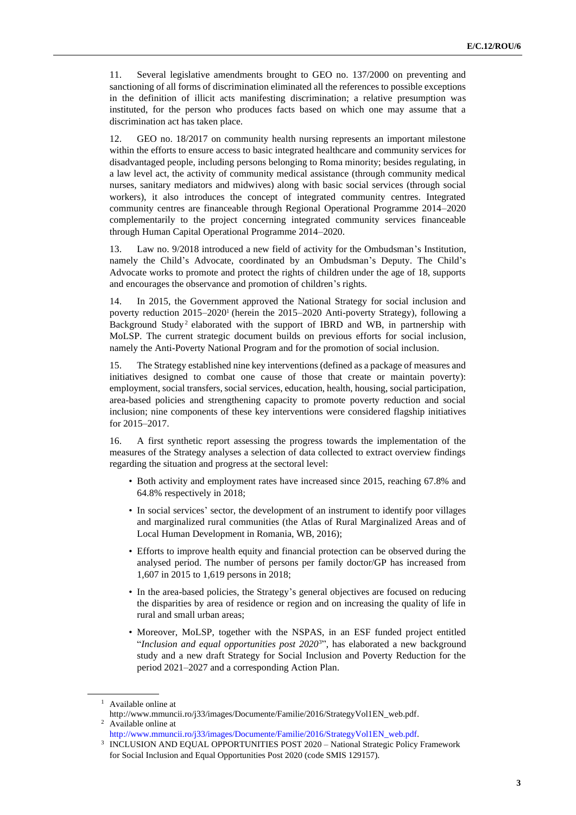11. Several legislative amendments brought to GEO no. 137/2000 on preventing and sanctioning of all forms of discrimination eliminated all the references to possible exceptions in the definition of illicit acts manifesting discrimination; a relative presumption was instituted, for the person who produces facts based on which one may assume that a discrimination act has taken place.

12. GEO no. 18/2017 on community health nursing represents an important milestone within the efforts to ensure access to basic integrated healthcare and community services for disadvantaged people, including persons belonging to Roma minority; besides regulating, in a law level act, the activity of community medical assistance (through community medical nurses, sanitary mediators and midwives) along with basic social services (through social workers), it also introduces the concept of integrated community centres. Integrated community centres are financeable through Regional Operational Programme 2014–2020 complementarily to the project concerning integrated community services financeable through Human Capital Operational Programme 2014–2020.

13. Law no. 9/2018 introduced a new field of activity for the Ombudsman's Institution, namely the Child's Advocate, coordinated by an Ombudsman's Deputy. The Child's Advocate works to promote and protect the rights of children under the age of 18, supports and encourages the observance and promotion of children's rights.

14. In 2015, the Government approved the National Strategy for social inclusion and poverty reduction 2015–2020<sup>1</sup> (herein the 2015–2020 Anti-poverty Strategy), following a Background Study<sup>2</sup> elaborated with the support of IBRD and WB, in partnership with MoLSP. The current strategic document builds on previous efforts for social inclusion, namely the Anti-Poverty National Program and for the promotion of social inclusion.

15. The Strategy established nine key interventions (defined as a package of measures and initiatives designed to combat one cause of those that create or maintain poverty): employment, social transfers, social services, education, health, housing, social participation, area-based policies and strengthening capacity to promote poverty reduction and social inclusion; nine components of these key interventions were considered flagship initiatives for 2015–2017.

16. A first synthetic report assessing the progress towards the implementation of the measures of the Strategy analyses a selection of data collected to extract overview findings regarding the situation and progress at the sectoral level:

- Both activity and employment rates have increased since 2015, reaching 67.8% and 64.8% respectively in 2018;
- In social services' sector, the development of an instrument to identify poor villages and marginalized rural communities (the Atlas of Rural Marginalized Areas and of Local Human Development in Romania, WB, 2016);
- Efforts to improve health equity and financial protection can be observed during the analysed period. The number of persons per family doctor/GP has increased from 1,607 in 2015 to 1,619 persons in 2018;
- In the area-based policies, the Strategy's general objectives are focused on reducing the disparities by area of residence or region and on increasing the quality of life in rural and small urban areas;
- Moreover, MoLSP, together with the NSPAS, in an ESF funded project entitled "*Inclusion and equal opportunities post 2020*3", has elaborated a new background study and a new draft Strategy for Social Inclusion and Poverty Reduction for the period 2021–2027 and a corresponding Action Plan.

<sup>1</sup> Available online at

http://www.mmuncii.ro/j33/images/Documente/Familie/2016/StrategyVol1EN\_web.pdf. <sup>2</sup> Available online at

[http://www.mmuncii.ro/j33/images/Documente/Familie/2016/StrategyVol1EN\\_web.pdf.](http://www.mmuncii.ro/j33/images/Documente/Familie/2016/StrategyVol1EN_web.pdf)

<sup>3</sup> INCLUSION AND EQUAL OPPORTUNITIES POST 2020 – National Strategic Policy Framework for Social Inclusion and Equal Opportunities Post 2020 (code SMIS 129157).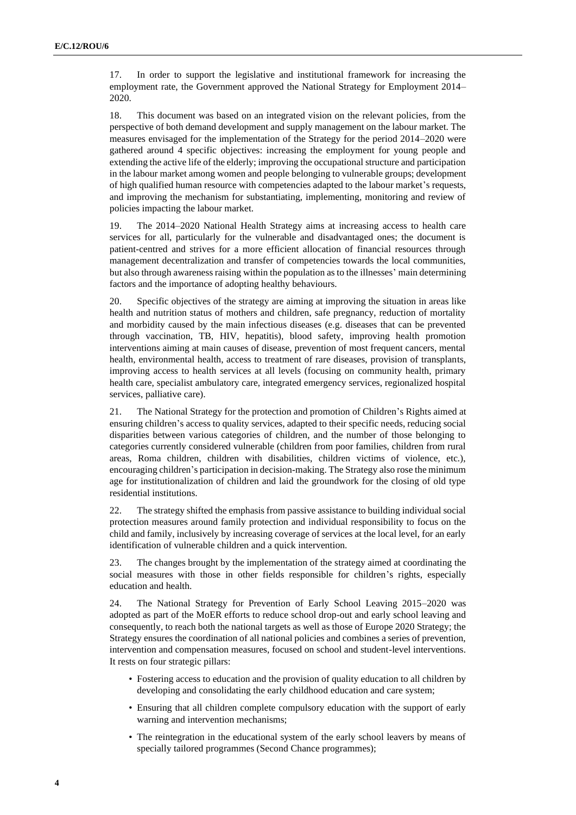17. In order to support the legislative and institutional framework for increasing the employment rate, the Government approved the National Strategy for Employment 2014– 2020.

18. This document was based on an integrated vision on the relevant policies, from the perspective of both demand development and supply management on the labour market. The measures envisaged for the implementation of the Strategy for the period 2014–2020 were gathered around 4 specific objectives: increasing the employment for young people and extending the active life of the elderly; improving the occupational structure and participation in the labour market among women and people belonging to vulnerable groups; development of high qualified human resource with competencies adapted to the labour market's requests, and improving the mechanism for substantiating, implementing, monitoring and review of policies impacting the labour market.

19. The 2014–2020 National Health Strategy aims at increasing access to health care services for all, particularly for the vulnerable and disadvantaged ones; the document is patient-centred and strives for a more efficient allocation of financial resources through management decentralization and transfer of competencies towards the local communities, but also through awareness raising within the population as to the illnesses' main determining factors and the importance of adopting healthy behaviours.

20. Specific objectives of the strategy are aiming at improving the situation in areas like health and nutrition status of mothers and children, safe pregnancy, reduction of mortality and morbidity caused by the main infectious diseases (e.g. diseases that can be prevented through vaccination, TB, HIV, hepatitis), blood safety, improving health promotion interventions aiming at main causes of disease, prevention of most frequent cancers, mental health, environmental health, access to treatment of rare diseases, provision of transplants, improving access to health services at all levels (focusing on community health, primary health care, specialist ambulatory care, integrated emergency services, regionalized hospital services, palliative care).

21. The National Strategy for the protection and promotion of Children's Rights aimed at ensuring children's access to quality services, adapted to their specific needs, reducing social disparities between various categories of children, and the number of those belonging to categories currently considered vulnerable (children from poor families, children from rural areas, Roma children, children with disabilities, children victims of violence, etc.), encouraging children's participation in decision-making. The Strategy also rose the minimum age for institutionalization of children and laid the groundwork for the closing of old type residential institutions.

22. The strategy shifted the emphasis from passive assistance to building individual social protection measures around family protection and individual responsibility to focus on the child and family, inclusively by increasing coverage of services at the local level, for an early identification of vulnerable children and a quick intervention.

23. The changes brought by the implementation of the strategy aimed at coordinating the social measures with those in other fields responsible for children's rights, especially education and health.

24. The National Strategy for Prevention of Early School Leaving 2015–2020 was adopted as part of the MoER efforts to reduce school drop-out and early school leaving and consequently, to reach both the national targets as well as those of Europe 2020 Strategy; the Strategy ensures the coordination of all national policies and combines a series of prevention, intervention and compensation measures, focused on school and student-level interventions. It rests on four strategic pillars:

- Fostering access to education and the provision of quality education to all children by developing and consolidating the early childhood education and care system;
- Ensuring that all children complete compulsory education with the support of early warning and intervention mechanisms;
- The reintegration in the educational system of the early school leavers by means of specially tailored programmes (Second Chance programmes);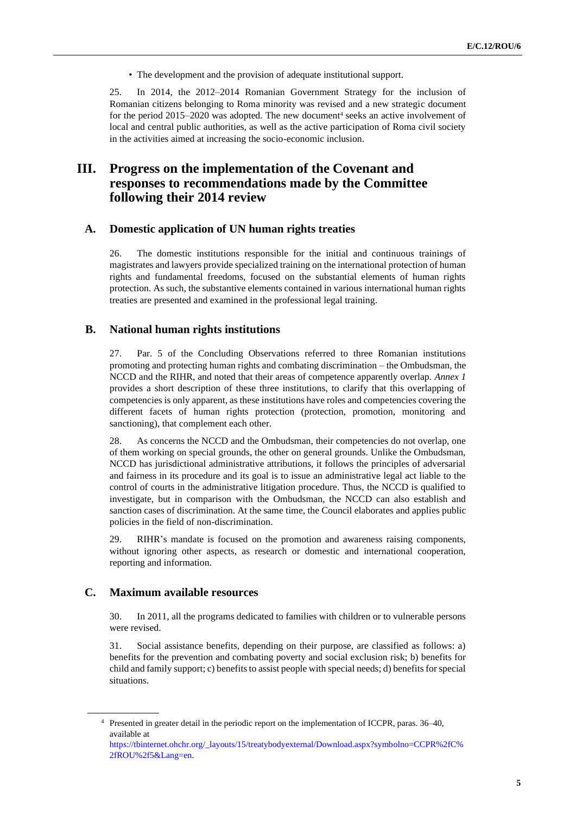• The development and the provision of adequate institutional support.

25. In 2014, the 2012–2014 Romanian Government Strategy for the inclusion of Romanian citizens belonging to Roma minority was revised and a new strategic document for the period  $2015-2020$  was adopted. The new document<sup>4</sup> seeks an active involvement of local and central public authorities, as well as the active participation of Roma civil society in the activities aimed at increasing the socio-economic inclusion.

# **III. Progress on the implementation of the Covenant and responses to recommendations made by the Committee following their 2014 review**

# **A. Domestic application of UN human rights treaties**

26. The domestic institutions responsible for the initial and continuous trainings of magistrates and lawyers provide specialized training on the international protection of human rights and fundamental freedoms, focused on the substantial elements of human rights protection. As such, the substantive elements contained in various international human rights treaties are presented and examined in the professional legal training.

### **B. National human rights institutions**

27. Par. 5 of the Concluding Observations referred to three Romanian institutions promoting and protecting human rights and combating discrimination – the Ombudsman, the NCCD and the RIHR, and noted that their areas of competence apparently overlap. *Annex 1* provides a short description of these three institutions, to clarify that this overlapping of competencies is only apparent, as these institutions have roles and competencies covering the different facets of human rights protection (protection, promotion, monitoring and sanctioning), that complement each other.

28. As concerns the NCCD and the Ombudsman, their competencies do not overlap, one of them working on special grounds, the other on general grounds. Unlike the Ombudsman, NCCD has jurisdictional administrative attributions, it follows the principles of adversarial and fairness in its procedure and its goal is to issue an administrative legal act liable to the control of courts in the administrative litigation procedure. Thus, the NCCD is qualified to investigate, but in comparison with the Ombudsman, the NCCD can also establish and sanction cases of discrimination. At the same time, the Council elaborates and applies public policies in the field of non-discrimination.

29. RIHR's mandate is focused on the promotion and awareness raising components, without ignoring other aspects, as research or domestic and international cooperation, reporting and information.

# **C. Maximum available resources**

30. In 2011, all the programs dedicated to families with children or to vulnerable persons were revised.

31. Social assistance benefits, depending on their purpose, are classified as follows: a) benefits for the prevention and combating poverty and social exclusion risk; b) benefits for child and family support; c) benefits to assist people with special needs; d) benefits for special situations.

<sup>&</sup>lt;sup>4</sup> Presented in greater detail in the periodic report on the implementation of ICCPR, paras. 36–40, available at

[https://tbinternet.ohchr.org/\\_layouts/15/treatybodyexternal/Download.aspx?symbolno=CCPR%2fC%](https://tbinternet.ohchr.org/_layouts/15/treatybodyexternal/Download.aspx?symbolno=CCPR%2fC%2fROU%2f5&Lang=en) [2fROU%2f5&Lang=en.](https://tbinternet.ohchr.org/_layouts/15/treatybodyexternal/Download.aspx?symbolno=CCPR%2fC%2fROU%2f5&Lang=en)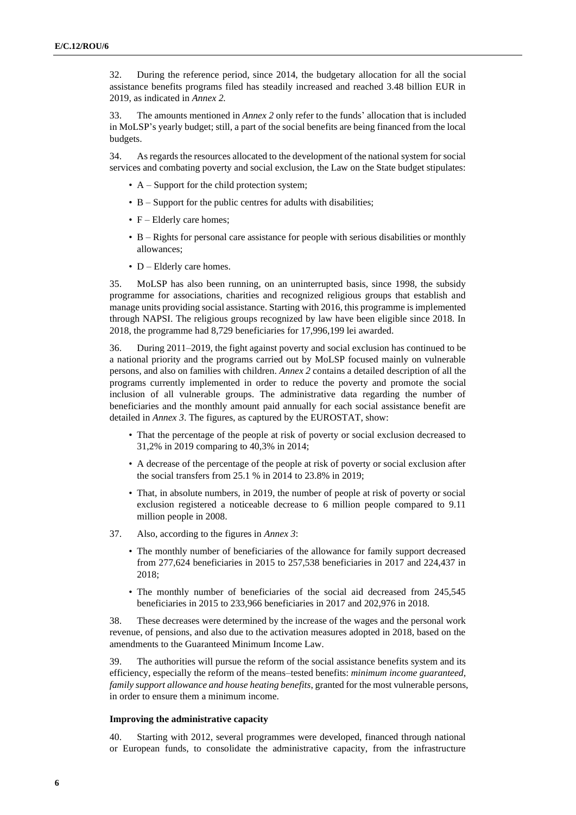32. During the reference period, since 2014, the budgetary allocation for all the social assistance benefits programs filed has steadily increased and reached 3.48 billion EUR in 2019, as indicated in *Annex 2.*

33. The amounts mentioned in *Annex 2* only refer to the funds' allocation that is included in MoLSP's yearly budget; still, a part of the social benefits are being financed from the local budgets.

34. As regards the resources allocated to the development of the national system for social services and combating poverty and social exclusion, the Law on the State budget stipulates:

- A Support for the child protection system;
- B Support for the public centres for adults with disabilities;
- $F$  Elderly care homes;
- B Rights for personal care assistance for people with serious disabilities or monthly allowances;
- D Elderly care homes.

35. MoLSP has also been running, on an uninterrupted basis, since 1998, the subsidy programme for associations, charities and recognized religious groups that establish and manage units providing social assistance. Starting with 2016, this programme is implemented through NAPSI. The religious groups recognized by law have been eligible since 2018. In 2018, the programme had 8,729 beneficiaries for 17,996,199 lei awarded.

36. During 2011–2019, the fight against poverty and social exclusion has continued to be a national priority and the programs carried out by MoLSP focused mainly on vulnerable persons, and also on families with children. *Annex 2* contains a detailed description of all the programs currently implemented in order to reduce the poverty and promote the social inclusion of all vulnerable groups. The administrative data regarding the number of beneficiaries and the monthly amount paid annually for each social assistance benefit are detailed in *Annex 3*. The figures, as captured by the EUROSTAT, show:

- That the percentage of the people at risk of poverty or social exclusion decreased to 31,2% in 2019 comparing to 40,3% in 2014;
- A decrease of the percentage of the people at risk of poverty or social exclusion after the social transfers from 25.1 % in 2014 to 23.8% in 2019;
- That, in absolute numbers, in 2019, the number of people at risk of poverty or social exclusion registered a noticeable decrease to 6 million people compared to 9.11 million people in 2008.
- 37. Also, according to the figures in *Annex 3*:
	- The monthly number of beneficiaries of the allowance for family support decreased from 277,624 beneficiaries in 2015 to 257,538 beneficiaries in 2017 and 224,437 in 2018;
	- The monthly number of beneficiaries of the social aid decreased from 245,545 beneficiaries in 2015 to 233,966 beneficiaries in 2017 and 202,976 in 2018.

38. These decreases were determined by the increase of the wages and the personal work revenue, of pensions, and also due to the activation measures adopted in 2018, based on the amendments to the Guaranteed Minimum Income Law.

39. The authorities will pursue the reform of the social assistance benefits system and its efficiency, especially the reform of the means–tested benefits: *minimum income guaranteed, family support allowance and house heating benefits*, granted for the most vulnerable persons, in order to ensure them a minimum income.

#### **Improving the administrative capacity**

40. Starting with 2012, several programmes were developed, financed through national or European funds, to consolidate the administrative capacity, from the infrastructure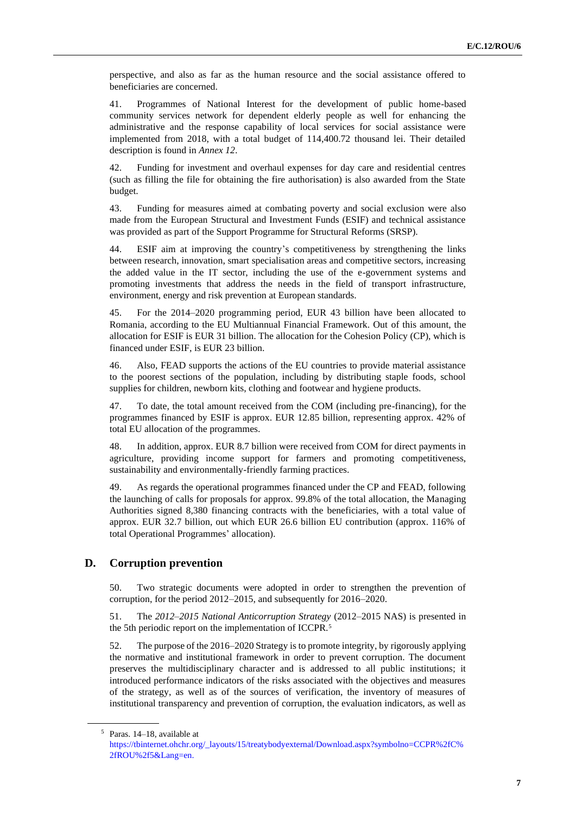perspective, and also as far as the human resource and the social assistance offered to beneficiaries are concerned.

41. Programmes of National Interest for the development of public home-based community services network for dependent elderly people as well for enhancing the administrative and the response capability of local services for social assistance were implemented from 2018, with a total budget of 114,400.72 thousand lei. Their detailed description is found in *Annex 12*.

42. Funding for investment and overhaul expenses for day care and residential centres (such as filling the file for obtaining the fire authorisation) is also awarded from the State budget.

43. Funding for measures aimed at combating poverty and social exclusion were also made from the European Structural and Investment Funds (ESIF) and technical assistance was provided as part of the Support Programme for Structural Reforms (SRSP).

44. ESIF aim at improving the country's competitiveness by strengthening the links between research, innovation, smart specialisation areas and competitive sectors, increasing the added value in the IT sector, including the use of the e-government systems and promoting investments that address the needs in the field of transport infrastructure, environment, energy and risk prevention at European standards.

45. For the 2014–2020 programming period, EUR 43 billion have been allocated to Romania, according to the EU Multiannual Financial Framework. Out of this amount, the allocation for ESIF is EUR 31 billion. The allocation for the Cohesion Policy (CP), which is financed under ESIF, is EUR 23 billion.

46. Also, FEAD supports the actions of the EU countries to provide material assistance to the poorest sections of the population, including by distributing staple foods, school supplies for children, newborn kits, clothing and footwear and hygiene products.

47. To date, the total amount received from the COM (including pre-financing), for the programmes financed by ESIF is approx. EUR 12.85 billion, representing approx. 42% of total EU allocation of the programmes.

48. In addition, approx. EUR 8.7 billion were received from COM for direct payments in agriculture, providing income support for farmers and promoting competitiveness, sustainability and environmentally-friendly farming practices.

49. As regards the operational programmes financed under the CP and FEAD, following the launching of calls for proposals for approx. 99.8% of the total allocation, the Managing Authorities signed 8,380 financing contracts with the beneficiaries, with a total value of approx. EUR 32.7 billion, out which EUR 26.6 billion EU contribution (approx. 116% of total Operational Programmes' allocation).

# **D. Corruption prevention**

50. Two strategic documents were adopted in order to strengthen the prevention of corruption, for the period 2012–2015, and subsequently for 2016–2020.

51. The *2012–2015 National Anticorruption Strategy* (2012–2015 NAS) is presented in the 5th periodic report on the implementation of ICCPR.<sup>5</sup>

52. The purpose of the 2016–2020 Strategy is to promote integrity, by rigorously applying the normative and institutional framework in order to prevent corruption. The document preserves the multidisciplinary character and is addressed to all public institutions; it introduced performance indicators of the risks associated with the objectives and measures of the strategy, as well as of the sources of verification, the inventory of measures of institutional transparency and prevention of corruption, the evaluation indicators, as well as

<sup>5</sup> Paras. 14–18, available at

[https://tbinternet.ohchr.org/\\_layouts/15/treatybodyexternal/Download.aspx?symbolno=CCPR%2fC%](https://tbinternet.ohchr.org/_layouts/15/treatybodyexternal/Download.aspx?symbolno=CCPR%2fC%2fROU%2f5&Lang=en) [2fROU%2f5&Lang=en.](https://tbinternet.ohchr.org/_layouts/15/treatybodyexternal/Download.aspx?symbolno=CCPR%2fC%2fROU%2f5&Lang=en)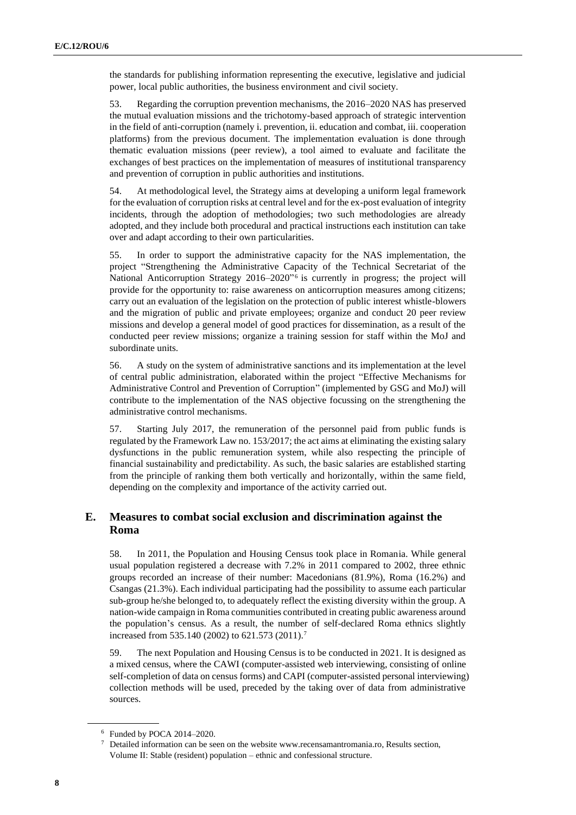the standards for publishing information representing the executive, legislative and judicial power, local public authorities, the business environment and civil society.

53. Regarding the corruption prevention mechanisms, the 2016–2020 NAS has preserved the mutual evaluation missions and the trichotomy-based approach of strategic intervention in the field of anti-corruption (namely i. prevention, ii. education and combat, iii. cooperation platforms) from the previous document. The implementation evaluation is done through thematic evaluation missions (peer review), a tool aimed to evaluate and facilitate the exchanges of best practices on the implementation of measures of institutional transparency and prevention of corruption in public authorities and institutions.

54. At methodological level, the Strategy aims at developing a uniform legal framework for the evaluation of corruption risks at central level and for the ex-post evaluation of integrity incidents, through the adoption of methodologies; two such methodologies are already adopted, and they include both procedural and practical instructions each institution can take over and adapt according to their own particularities.

55. In order to support the administrative capacity for the NAS implementation, the project "Strengthening the Administrative Capacity of the Technical Secretariat of the National Anticorruption Strategy 2016–2020" 6 is currently in progress; the project will provide for the opportunity to: raise awareness on anticorruption measures among citizens; carry out an evaluation of the legislation on the protection of public interest whistle-blowers and the migration of public and private employees; organize and conduct 20 peer review missions and develop a general model of good practices for dissemination, as a result of the conducted peer review missions; organize a training session for staff within the MoJ and subordinate units.

56. A study on the system of administrative sanctions and its implementation at the level of central public administration, elaborated within the project "Effective Mechanisms for Administrative Control and Prevention of Corruption" (implemented by GSG and MoJ) will contribute to the implementation of the NAS objective focussing on the strengthening the administrative control mechanisms.

57. Starting July 2017, the remuneration of the personnel paid from public funds is regulated by the Framework Law no. 153/2017; the act aims at eliminating the existing salary dysfunctions in the public remuneration system, while also respecting the principle of financial sustainability and predictability. As such, the basic salaries are established starting from the principle of ranking them both vertically and horizontally, within the same field, depending on the complexity and importance of the activity carried out.

# **E. Measures to combat social exclusion and discrimination against the Roma**

58. In 2011, the Population and Housing Census took place in Romania. While general usual population registered a decrease with 7.2% in 2011 compared to 2002, three ethnic groups recorded an increase of their number: Macedonians (81.9%), Roma (16.2%) and Csangas (21.3%). Each individual participating had the possibility to assume each particular sub-group he/she belonged to, to adequately reflect the existing diversity within the group. A nation-wide campaign in Roma communities contributed in creating public awareness around the population's census. As a result, the number of self-declared Roma ethnics slightly increased from 535.140 (2002) to 621.573 (2011).<sup>7</sup>

59. The next Population and Housing Census is to be conducted in 2021. It is designed as a mixed census, where the CAWI (computer-assisted web interviewing, consisting of online self-completion of data on census forms) and CAPI (computer-assisted personal interviewing) collection methods will be used, preceded by the taking over of data from administrative sources.

<sup>6</sup> Funded by POCA 2014–2020.

 $\frac{7}{1}$  Detailed information can be seen on the website www.recensamantromania.ro, Results section, Volume II: Stable (resident) population – ethnic and confessional structure.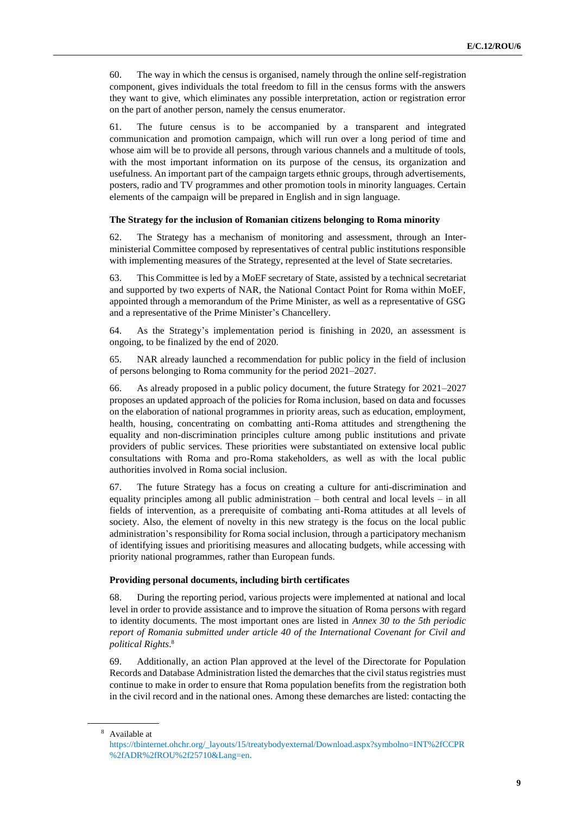60. The way in which the census is organised, namely through the online self-registration component, gives individuals the total freedom to fill in the census forms with the answers they want to give, which eliminates any possible interpretation, action or registration error on the part of another person, namely the census enumerator.

61. The future census is to be accompanied by a transparent and integrated communication and promotion campaign, which will run over a long period of time and whose aim will be to provide all persons, through various channels and a multitude of tools, with the most important information on its purpose of the census, its organization and usefulness. An important part of the campaign targets ethnic groups, through advertisements, posters, radio and TV programmes and other promotion tools in minority languages. Certain elements of the campaign will be prepared in English and in sign language.

#### **The Strategy for the inclusion of Romanian citizens belonging to Roma minority**

62. The Strategy has a mechanism of monitoring and assessment, through an Interministerial Committee composed by representatives of central public institutions responsible with implementing measures of the Strategy, represented at the level of State secretaries.

63. This Committee is led by a MoEF secretary of State, assisted by a technical secretariat and supported by two experts of NAR, the National Contact Point for Roma within MoEF, appointed through a memorandum of the Prime Minister, as well as a representative of GSG and a representative of the Prime Minister's Chancellery.

64. As the Strategy's implementation period is finishing in 2020, an assessment is ongoing, to be finalized by the end of 2020.

65. NAR already launched a recommendation for public policy in the field of inclusion of persons belonging to Roma community for the period 2021–2027.

66. As already proposed in a public policy document, the future Strategy for 2021–2027 proposes an updated approach of the policies for Roma inclusion, based on data and focusses on the elaboration of national programmes in priority areas, such as education, employment, health, housing, concentrating on combatting anti-Roma attitudes and strengthening the equality and non-discrimination principles culture among public institutions and private providers of public services. These priorities were substantiated on extensive local public consultations with Roma and pro-Roma stakeholders, as well as with the local public authorities involved in Roma social inclusion.

67. The future Strategy has a focus on creating a culture for anti-discrimination and equality principles among all public administration – both central and local levels – in all fields of intervention, as a prerequisite of combating anti-Roma attitudes at all levels of society. Also, the element of novelty in this new strategy is the focus on the local public administration's responsibility for Roma social inclusion, through a participatory mechanism of identifying issues and prioritising measures and allocating budgets, while accessing with priority national programmes, rather than European funds.

#### **Providing personal documents, including birth certificates**

68. During the reporting period, various projects were implemented at national and local level in order to provide assistance and to improve the situation of Roma persons with regard to identity documents. The most important ones are listed in *Annex 30 to the 5th periodic report of Romania submitted under article 40 of the International Covenant for Civil and political Rights*. 8

69. Additionally, an action Plan approved at the level of the Directorate for Population Records and Database Administration listed the demarches that the civil status registries must continue to make in order to ensure that Roma population benefits from the registration both in the civil record and in the national ones. Among these demarches are listed: contacting the

<sup>8</sup> Available at

[https://tbinternet.ohchr.org/\\_layouts/15/treatybodyexternal/Download.aspx?symbolno=INT%2fCCPR](https://tbinternet.ohchr.org/_layouts/15/treatybodyexternal/Download.aspx?symbolno=INT%2fCCPR%2fADR%2fROU%2f25710&Lang=en) [%2fADR%2fROU%2f25710&Lang=en](https://tbinternet.ohchr.org/_layouts/15/treatybodyexternal/Download.aspx?symbolno=INT%2fCCPR%2fADR%2fROU%2f25710&Lang=en).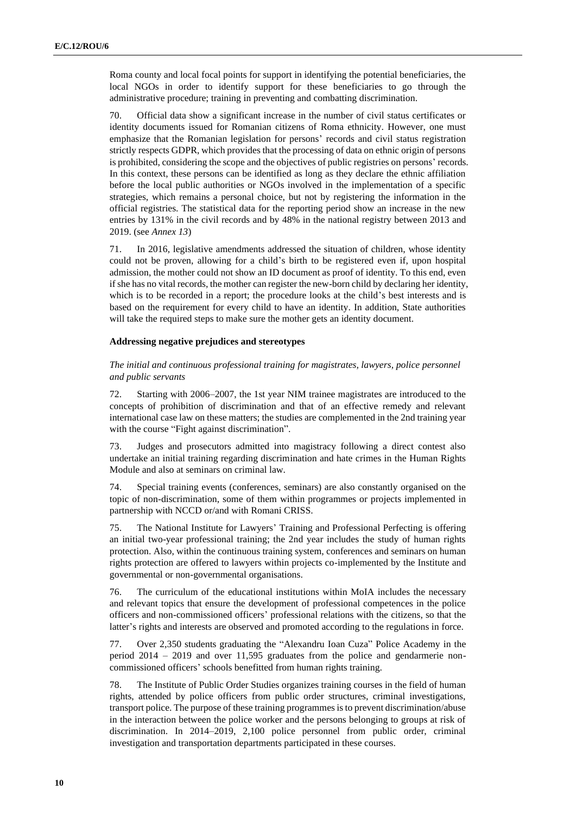Roma county and local focal points for support in identifying the potential beneficiaries, the local NGOs in order to identify support for these beneficiaries to go through the administrative procedure; training in preventing and combatting discrimination.

70. Official data show a significant increase in the number of civil status certificates or identity documents issued for Romanian citizens of Roma ethnicity. However, one must emphasize that the Romanian legislation for persons' records and civil status registration strictly respects GDPR, which provides that the processing of data on ethnic origin of persons is prohibited, considering the scope and the objectives of public registries on persons' records. In this context, these persons can be identified as long as they declare the ethnic affiliation before the local public authorities or NGOs involved in the implementation of a specific strategies, which remains a personal choice, but not by registering the information in the official registries. The statistical data for the reporting period show an increase in the new entries by 131% in the civil records and by 48% in the national registry between 2013 and 2019. (see *Annex 13*)

71. In 2016, legislative amendments addressed the situation of children, whose identity could not be proven, allowing for a child's birth to be registered even if, upon hospital admission, the mother could not show an ID document as proof of identity. To this end, even if she has no vital records, the mother can register the new-born child by declaring her identity, which is to be recorded in a report; the procedure looks at the child's best interests and is based on the requirement for every child to have an identity. In addition, State authorities will take the required steps to make sure the mother gets an identity document.

#### **Addressing negative prejudices and stereotypes**

#### *The initial and continuous professional training for magistrates, lawyers, police personnel and public servants*

72. Starting with 2006–2007, the 1st year NIM trainee magistrates are introduced to the concepts of prohibition of discrimination and that of an effective remedy and relevant international case law on these matters; the studies are complemented in the 2nd training year with the course "Fight against discrimination".

73. Judges and prosecutors admitted into magistracy following a direct contest also undertake an initial training regarding discrimination and hate crimes in the Human Rights Module and also at seminars on criminal law.

74. Special training events (conferences, seminars) are also constantly organised on the topic of non-discrimination, some of them within programmes or projects implemented in partnership with NCCD or/and with Romani CRISS.

75. The National Institute for Lawyers' Training and Professional Perfecting is offering an initial two-year professional training; the 2nd year includes the study of human rights protection. Also, within the continuous training system, conferences and seminars on human rights protection are offered to lawyers within projects co-implemented by the Institute and governmental or non-governmental organisations.

76. The curriculum of the educational institutions within MoIA includes the necessary and relevant topics that ensure the development of professional competences in the police officers and non-commissioned officers' professional relations with the citizens, so that the latter's rights and interests are observed and promoted according to the regulations in force.

77. Over 2,350 students graduating the "Alexandru Ioan Cuza" Police Academy in the period 2014 – 2019 and over 11,595 graduates from the police and gendarmerie noncommissioned officers' schools benefitted from human rights training.

78. The Institute of Public Order Studies organizes training courses in the field of human rights, attended by police officers from public order structures, criminal investigations, transport police. The purpose of these training programmes is to prevent discrimination/abuse in the interaction between the police worker and the persons belonging to groups at risk of discrimination. In 2014–2019, 2,100 police personnel from public order, criminal investigation and transportation departments participated in these courses.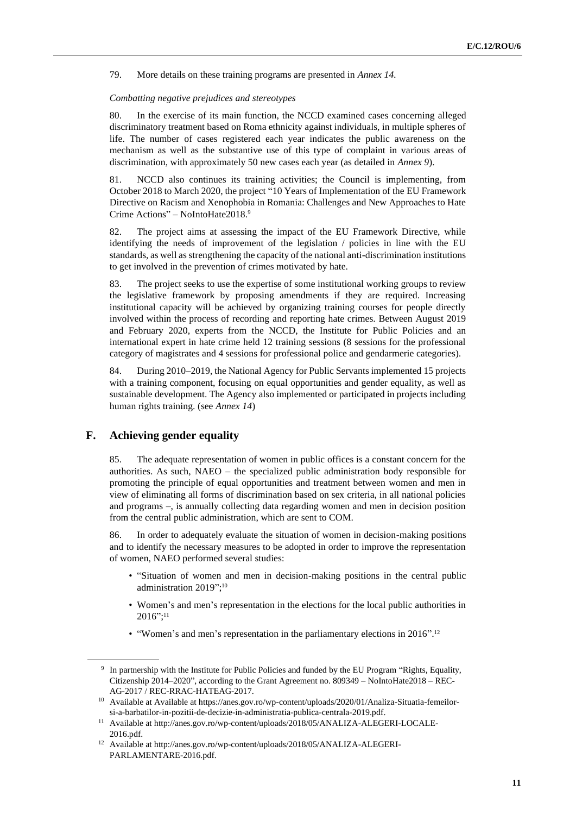79. More details on these training programs are presented in *Annex 14.*

#### *Combatting negative prejudices and stereotypes*

80. In the exercise of its main function, the NCCD examined cases concerning alleged discriminatory treatment based on Roma ethnicity against individuals, in multiple spheres of life. The number of cases registered each year indicates the public awareness on the mechanism as well as the substantive use of this type of complaint in various areas of discrimination, with approximately 50 new cases each year (as detailed in *Annex 9*).

81. NCCD also continues its training activities; the Council is implementing, from October 2018 to March 2020, the project "10 Years of Implementation of the EU Framework Directive on Racism and Xenophobia in Romania: Challenges and New Approaches to Hate Crime Actions" – NoIntoHate2018.<sup>9</sup>

82. The project aims at assessing the impact of the EU Framework Directive, while identifying the needs of improvement of the legislation / policies in line with the EU standards, as well as strengthening the capacity of the national anti-discrimination institutions to get involved in the prevention of crimes motivated by hate.

83. The project seeks to use the expertise of some institutional working groups to review the legislative framework by proposing amendments if they are required. Increasing institutional capacity will be achieved by organizing training courses for people directly involved within the process of recording and reporting hate crimes. Between August 2019 and February 2020, experts from the NCCD, the Institute for Public Policies and an international expert in hate crime held 12 training sessions (8 sessions for the professional category of magistrates and 4 sessions for professional police and gendarmerie categories).

84. During 2010–2019, the National Agency for Public Servants implemented 15 projects with a training component, focusing on equal opportunities and gender equality, as well as sustainable development. The Agency also implemented or participated in projects including human rights training. (see *Annex 14*)

# **F. Achieving gender equality**

85. The adequate representation of women in public offices is a constant concern for the authorities. As such, NAEO – the specialized public administration body responsible for promoting the principle of equal opportunities and treatment between women and men in view of eliminating all forms of discrimination based on sex criteria, in all national policies and programs –, is annually collecting data regarding women and men in decision position from the central public administration, which are sent to COM.

86. In order to adequately evaluate the situation of women in decision-making positions and to identify the necessary measures to be adopted in order to improve the representation of women, NAEO performed several studies:

- "Situation of women and men in decision-making positions in the central public administration 2019"; 10
- Women's and men's representation in the elections for the local public authorities in 2016"; 11
- "Women's and men's representation in the parliamentary elections in 2016".<sup>12</sup>

<sup>9</sup> In partnership with the Institute for Public Policies and funded by the EU Program "Rights, Equality, Citizenship 2014–2020", according to the Grant Agreement no. 809349 – NoIntoHate2018 – REC-AG-2017 / REC-RRAC-HATEAG-2017.

<sup>10</sup> Available at Available at https://anes.gov.ro/wp-content/uploads/2020/01/Analiza-Situatia-femeilorsi-a-barbatilor-in-pozitii-de-decizie-in-administratia-publica-centrala-2019.pdf.

<sup>11</sup> Available a[t http://anes.gov.ro/wp-content/uploads/2018/05/ANALIZA-ALEGERI-LOCALE-](http://anes.gov.ro/wp-content/uploads/2018/05/ANALIZA-ALEGERI-LOCALE-2016.pdf)[2016.pdf.](http://anes.gov.ro/wp-content/uploads/2018/05/ANALIZA-ALEGERI-LOCALE-2016.pdf)

<sup>12</sup> Available a[t http://anes.gov.ro/wp-content/uploads/2018/05/ANALIZA-ALEGERI-](http://anes.gov.ro/wp-content/uploads/2018/05/ANALIZA-ALEGERI-PARLAMENTARE-2016.pdf)[PARLAMENTARE-2016.pdf.](http://anes.gov.ro/wp-content/uploads/2018/05/ANALIZA-ALEGERI-PARLAMENTARE-2016.pdf)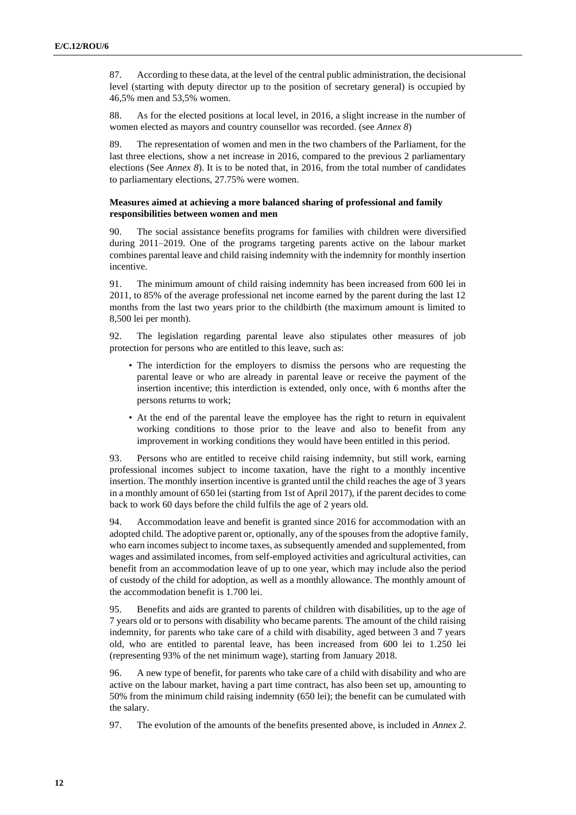87. According to these data, at the level of the central public administration, the decisional level (starting with deputy director up to the position of secretary general) is occupied by 46,5% men and 53,5% women.

88. As for the elected positions at local level, in 2016, a slight increase in the number of women elected as mayors and country counsellor was recorded. (see *Annex 8*)

89. The representation of women and men in the two chambers of the Parliament, for the last three elections, show a net increase in 2016, compared to the previous 2 parliamentary elections (See *Annex 8*). It is to be noted that, in 2016, from the total number of candidates to parliamentary elections, 27.75% were women.

#### **Measures aimed at achieving a more balanced sharing of professional and family responsibilities between women and men**

90. The social assistance benefits programs for families with children were diversified during 2011–2019. One of the programs targeting parents active on the labour market combines parental leave and child raising indemnity with the indemnity for monthly insertion incentive.

91. The minimum amount of child raising indemnity has been increased from 600 lei in 2011, to 85% of the average professional net income earned by the parent during the last 12 months from the last two years prior to the childbirth (the maximum amount is limited to 8,500 lei per month).

92. The legislation regarding parental leave also stipulates other measures of job protection for persons who are entitled to this leave, such as:

- The interdiction for the employers to dismiss the persons who are requesting the parental leave or who are already in parental leave or receive the payment of the insertion incentive; this interdiction is extended, only once, with 6 months after the persons returns to work;
- At the end of the parental leave the employee has the right to return in equivalent working conditions to those prior to the leave and also to benefit from any improvement in working conditions they would have been entitled in this period.

93. Persons who are entitled to receive child raising indemnity, but still work, earning professional incomes subject to income taxation, have the right to a monthly incentive insertion. The monthly insertion incentive is granted until the child reaches the age of 3 years in a monthly amount of 650 lei (starting from 1st of April 2017), if the parent decides to come back to work 60 days before the child fulfils the age of 2 years old.

94. Accommodation leave and benefit is granted since 2016 for accommodation with an adopted child. The adoptive parent or, optionally, any of the spouses from the adoptive family, who earn incomes subject to income taxes, as subsequently amended and supplemented, from wages and assimilated incomes, from self-employed activities and agricultural activities, can benefit from an accommodation leave of up to one year, which may include also the period of custody of the child for adoption, as well as a monthly allowance. The monthly amount of the accommodation benefit is 1.700 lei.

95. Benefits and aids are granted to parents of children with disabilities, up to the age of 7 years old or to persons with disability who became parents. The amount of the child raising indemnity, for parents who take care of a child with disability, aged between 3 and 7 years old, who are entitled to parental leave, has been increased from 600 lei to 1.250 lei (representing 93% of the net minimum wage), starting from January 2018.

96. A new type of benefit, for parents who take care of a child with disability and who are active on the labour market, having a part time contract, has also been set up, amounting to 50% from the minimum child raising indemnity (650 lei); the benefit can be cumulated with the salary.

97. The evolution of the amounts of the benefits presented above, is included in *Annex 2*.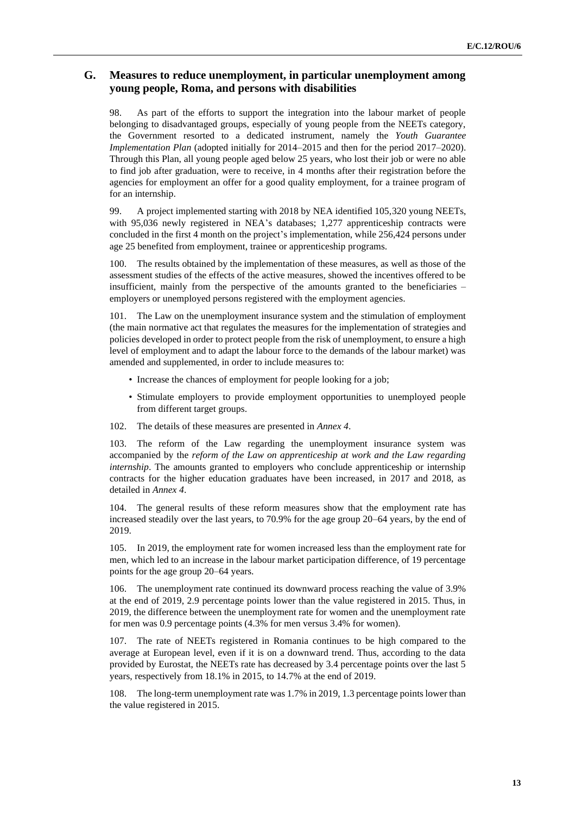# **G. Measures to reduce unemployment, in particular unemployment among young people, Roma, and persons with disabilities**

98. As part of the efforts to support the integration into the labour market of people belonging to disadvantaged groups, especially of young people from the NEETs category, the Government resorted to a dedicated instrument, namely the *Youth Guarantee Implementation Plan* (adopted initially for 2014–2015 and then for the period 2017–2020). Through this Plan, all young people aged below 25 years, who lost their job or were no able to find job after graduation, were to receive, in 4 months after their registration before the agencies for employment an offer for a good quality employment, for a trainee program of for an internship.

99. A project implemented starting with 2018 by NEA identified 105,320 young NEETs, with 95,036 newly registered in NEA's databases; 1,277 apprenticeship contracts were concluded in the first 4 month on the project's implementation, while 256,424 persons under age 25 benefited from employment, trainee or apprenticeship programs.

100. The results obtained by the implementation of these measures, as well as those of the assessment studies of the effects of the active measures, showed the incentives offered to be insufficient, mainly from the perspective of the amounts granted to the beneficiaries – employers or unemployed persons registered with the employment agencies.

101. The Law on the unemployment insurance system and the stimulation of employment (the main normative act that regulates the measures for the implementation of strategies and policies developed in order to protect people from the risk of unemployment, to ensure a high level of employment and to adapt the labour force to the demands of the labour market) was amended and supplemented, in order to include measures to:

- Increase the chances of employment for people looking for a job;
- Stimulate employers to provide employment opportunities to unemployed people from different target groups.
- 102. The details of these measures are presented in *Annex 4*.

103. The reform of the Law regarding the unemployment insurance system was accompanied by the *reform of the Law on apprenticeship at work and the Law regarding internship*. The amounts granted to employers who conclude apprenticeship or internship contracts for the higher education graduates have been increased, in 2017 and 2018, as detailed in *Annex 4*.

104. The general results of these reform measures show that the employment rate has increased steadily over the last years, to 70.9% for the age group 20–64 years, by the end of 2019.

105. In 2019, the employment rate for women increased less than the employment rate for men, which led to an increase in the labour market participation difference, of 19 percentage points for the age group 20–64 years.

106. The unemployment rate continued its downward process reaching the value of 3.9% at the end of 2019, 2.9 percentage points lower than the value registered in 2015. Thus, in 2019, the difference between the unemployment rate for women and the unemployment rate for men was 0.9 percentage points (4.3% for men versus 3.4% for women).

107. The rate of NEETs registered in Romania continues to be high compared to the average at European level, even if it is on a downward trend. Thus, according to the data provided by Eurostat, the NEETs rate has decreased by 3.4 percentage points over the last 5 years, respectively from 18.1% in 2015, to 14.7% at the end of 2019.

108. The long-term unemployment rate was 1.7% in 2019, 1.3 percentage points lower than the value registered in 2015.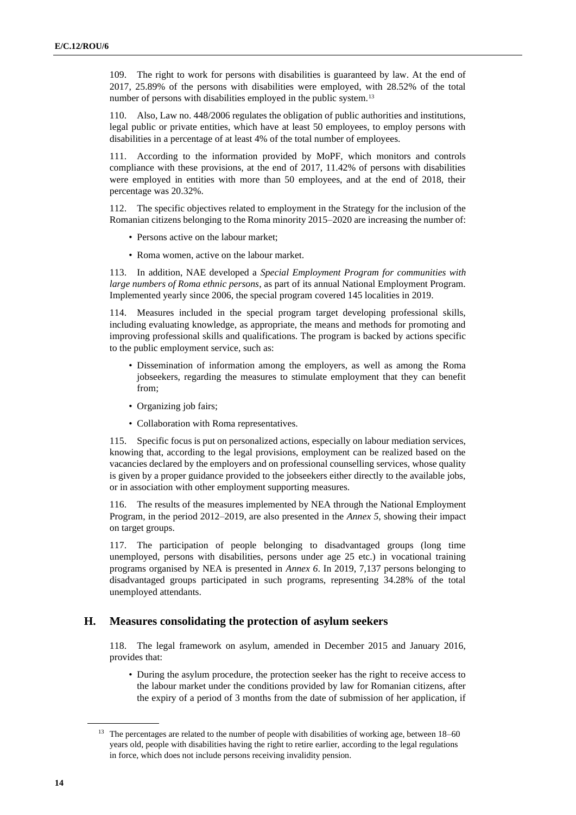109. The right to work for persons with disabilities is guaranteed by law. At the end of 2017, 25.89% of the persons with disabilities were employed, with 28.52% of the total number of persons with disabilities employed in the public system.<sup>13</sup>

110. Also, Law no. 448/2006 regulates the obligation of public authorities and institutions, legal public or private entities, which have at least 50 employees, to employ persons with disabilities in a percentage of at least 4% of the total number of employees.

111. According to the information provided by MoPF, which monitors and controls compliance with these provisions, at the end of 2017, 11.42% of persons with disabilities were employed in entities with more than 50 employees, and at the end of 2018, their percentage was 20.32%.

112. The specific objectives related to employment in the Strategy for the inclusion of the Romanian citizens belonging to the Roma minority 2015–2020 are increasing the number of:

- Persons active on the labour market;
- Roma women, active on the labour market.

113. In addition, NAE developed a *Special Employment Program for communities with large numbers of Roma ethnic persons*, as part of its annual National Employment Program. Implemented yearly since 2006, the special program covered 145 localities in 2019.

114. Measures included in the special program target developing professional skills, including evaluating knowledge, as appropriate, the means and methods for promoting and improving professional skills and qualifications. The program is backed by actions specific to the public employment service, such as:

- Dissemination of information among the employers, as well as among the Roma jobseekers, regarding the measures to stimulate employment that they can benefit from;
- Organizing job fairs;
- Collaboration with Roma representatives.

115. Specific focus is put on personalized actions, especially on labour mediation services, knowing that, according to the legal provisions, employment can be realized based on the vacancies declared by the employers and on professional counselling services, whose quality is given by a proper guidance provided to the jobseekers either directly to the available jobs, or in association with other employment supporting measures.

116. The results of the measures implemented by NEA through the National Employment Program, in the period 2012–2019, are also presented in the *Annex 5*, showing their impact on target groups.

117. The participation of people belonging to disadvantaged groups (long time unemployed, persons with disabilities, persons under age 25 etc.) in vocational training programs organised by NEA is presented in *Annex 6*. In 2019, 7,137 persons belonging to disadvantaged groups participated in such programs, representing 34.28% of the total unemployed attendants.

# **H. Measures consolidating the protection of asylum seekers**

118. The legal framework on asylum, amended in December 2015 and January 2016, provides that:

• During the asylum procedure, the protection seeker has the right to receive access to the labour market under the conditions provided by law for Romanian citizens, after the expiry of a period of 3 months from the date of submission of her application, if

<sup>&</sup>lt;sup>13</sup> The percentages are related to the number of people with disabilities of working age, between 18–60 years old, people with disabilities having the right to retire earlier, according to the legal regulations in force, which does not include persons receiving invalidity pension.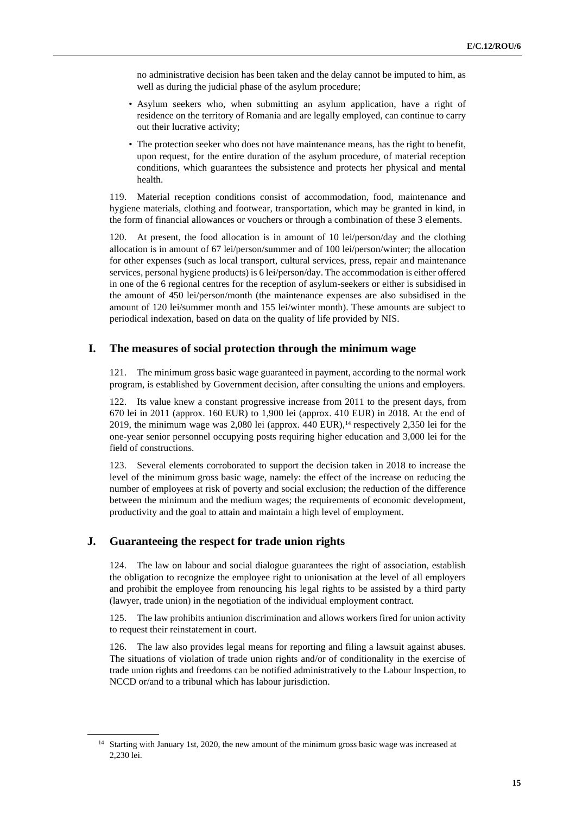no administrative decision has been taken and the delay cannot be imputed to him, as well as during the judicial phase of the asylum procedure;

- Asylum seekers who, when submitting an asylum application, have a right of residence on the territory of Romania and are legally employed, can continue to carry out their lucrative activity;
- The protection seeker who does not have maintenance means, has the right to benefit, upon request, for the entire duration of the asylum procedure, of material reception conditions, which guarantees the subsistence and protects her physical and mental health.

119. Material reception conditions consist of accommodation, food, maintenance and hygiene materials, clothing and footwear, transportation, which may be granted in kind, in the form of financial allowances or vouchers or through a combination of these 3 elements.

120. At present, the food allocation is in amount of 10 lei/person/day and the clothing allocation is in amount of 67 lei/person/summer and of 100 lei/person/winter; the allocation for other expenses (such as local transport, cultural services, press, repair and maintenance services, personal hygiene products) is 6 lei/person/day. The accommodation is either offered in one of the 6 regional centres for the reception of asylum-seekers or either is subsidised in the amount of 450 lei/person/month (the maintenance expenses are also subsidised in the amount of 120 lei/summer month and 155 lei/winter month). These amounts are subject to periodical indexation, based on data on the quality of life provided by NIS.

# **I. The measures of social protection through the minimum wage**

121. The minimum gross basic wage guaranteed in payment, according to the normal work program, is established by Government decision, after consulting the unions and employers.

122. Its value knew a constant progressive increase from 2011 to the present days, from 670 lei in 2011 (approx. 160 EUR) to 1,900 lei (approx. 410 EUR) in 2018. At the end of 2019, the minimum wage was 2,080 lei (approx.  $440 \text{ EUR}$ ),<sup>14</sup> respectively 2,350 lei for the one-year senior personnel occupying posts requiring higher education and 3,000 lei for the field of constructions.

123. Several elements corroborated to support the decision taken in 2018 to increase the level of the minimum gross basic wage, namely: the effect of the increase on reducing the number of employees at risk of poverty and social exclusion; the reduction of the difference between the minimum and the medium wages; the requirements of economic development, productivity and the goal to attain and maintain a high level of employment.

### **J. Guaranteeing the respect for trade union rights**

124. The law on labour and social dialogue guarantees the right of association, establish the obligation to recognize the employee right to unionisation at the level of all employers and prohibit the employee from renouncing his legal rights to be assisted by a third party (lawyer, trade union) in the negotiation of the individual employment contract.

125. The law prohibits antiunion discrimination and allows workers fired for union activity to request their reinstatement in court.

126. The law also provides legal means for reporting and filing a lawsuit against abuses. The situations of violation of trade union rights and/or of conditionality in the exercise of trade union rights and freedoms can be notified administratively to the Labour Inspection, to NCCD or/and to a tribunal which has labour jurisdiction.

<sup>&</sup>lt;sup>14</sup> Starting with January 1st, 2020, the new amount of the minimum gross basic wage was increased at 2,230 lei.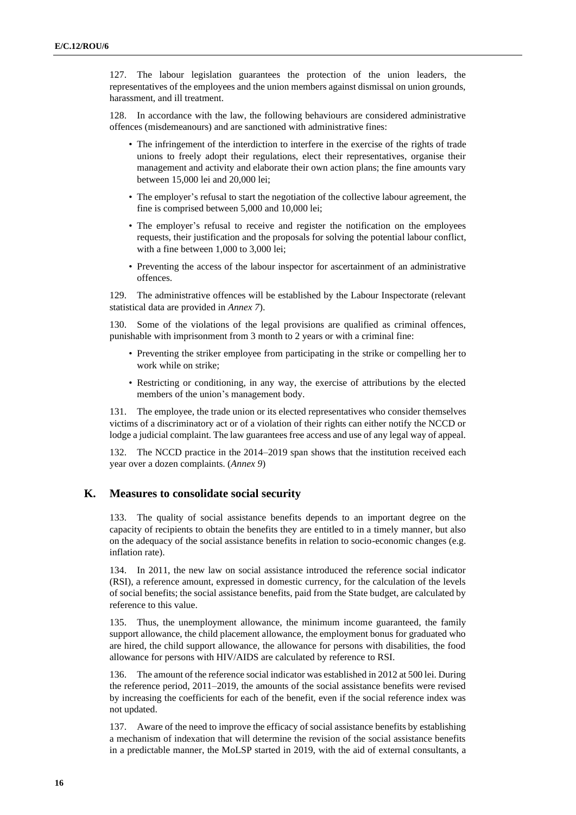127. The labour legislation guarantees the protection of the union leaders, the representatives of the employees and the union members against dismissal on union grounds, harassment, and ill treatment.

128. In accordance with the law, the following behaviours are considered administrative offences (misdemeanours) and are sanctioned with administrative fines:

- The infringement of the interdiction to interfere in the exercise of the rights of trade unions to freely adopt their regulations, elect their representatives, organise their management and activity and elaborate their own action plans; the fine amounts vary between 15,000 lei and 20,000 lei;
- The employer's refusal to start the negotiation of the collective labour agreement, the fine is comprised between 5,000 and 10,000 lei;
- The employer's refusal to receive and register the notification on the employees requests, their justification and the proposals for solving the potential labour conflict, with a fine between 1,000 to 3,000 lei;
- Preventing the access of the labour inspector for ascertainment of an administrative offences.

129. The administrative offences will be established by the Labour Inspectorate (relevant statistical data are provided in *Annex 7*).

130. Some of the violations of the legal provisions are qualified as criminal offences, punishable with imprisonment from 3 month to 2 years or with a criminal fine:

- Preventing the striker employee from participating in the strike or compelling her to work while on strike;
- Restricting or conditioning, in any way, the exercise of attributions by the elected members of the union's management body.

131. The employee, the trade union or its elected representatives who consider themselves victims of a discriminatory act or of a violation of their rights can either notify the NCCD or lodge a judicial complaint. The law guarantees free access and use of any legal way of appeal.

132. The NCCD practice in the 2014–2019 span shows that the institution received each year over a dozen complaints. (*Annex 9*)

# **K. Measures to consolidate social security**

133. The quality of social assistance benefits depends to an important degree on the capacity of recipients to obtain the benefits they are entitled to in a timely manner, but also on the adequacy of the social assistance benefits in relation to socio-economic changes (e.g. inflation rate).

134. In 2011, the new law on social assistance introduced the reference social indicator (RSI), a reference amount, expressed in domestic currency, for the calculation of the levels of social benefits; the social assistance benefits, paid from the State budget, are calculated by reference to this value.

135. Thus, the unemployment allowance, the minimum income guaranteed, the family support allowance, the child placement allowance, the employment bonus for graduated who are hired, the child support allowance, the allowance for persons with disabilities, the food allowance for persons with HIV/AIDS are calculated by reference to RSI.

136. The amount of the reference social indicator was established in 2012 at 500 lei. During the reference period, 2011–2019, the amounts of the social assistance benefits were revised by increasing the coefficients for each of the benefit, even if the social reference index was not updated.

137. Aware of the need to improve the efficacy of social assistance benefits by establishing a mechanism of indexation that will determine the revision of the social assistance benefits in a predictable manner, the MoLSP started in 2019, with the aid of external consultants, a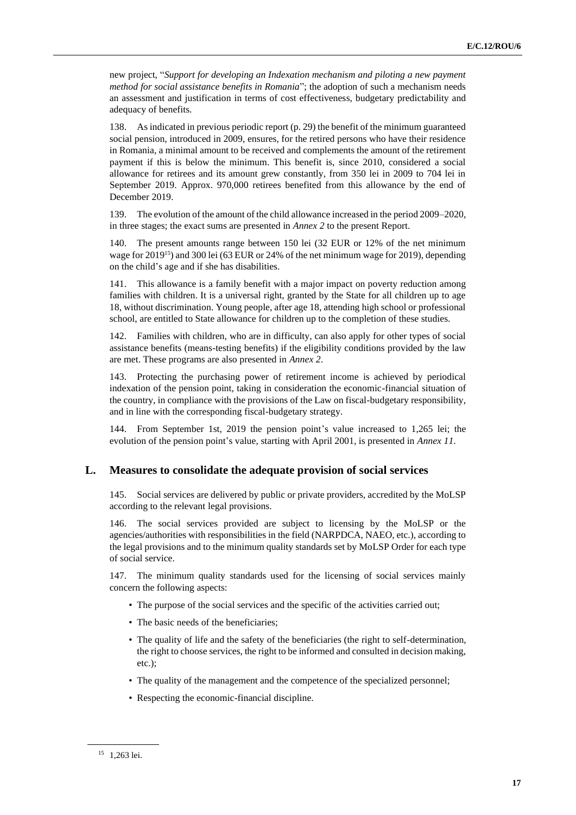new project, "*Support for developing an Indexation mechanism and piloting a new payment method for social assistance benefits in Romania*"; the adoption of such a mechanism needs an assessment and justification in terms of cost effectiveness, budgetary predictability and adequacy of benefits.

138. As indicated in previous periodic report (p. 29) the benefit of the minimum guaranteed social pension, introduced in 2009, ensures, for the retired persons who have their residence in Romania, a minimal amount to be received and complements the amount of the retirement payment if this is below the minimum. This benefit is, since 2010, considered a social allowance for retirees and its amount grew constantly, from 350 lei in 2009 to 704 lei in September 2019. Approx. 970,000 retirees benefited from this allowance by the end of December 2019.

139. The evolution of the amount of the child allowance increased in the period 2009–2020, in three stages; the exact sums are presented in *Annex 2* to the present Report.

140. The present amounts range between 150 lei (32 EUR or 12% of the net minimum wage for 2019<sup>15</sup>) and 300 lei (63 EUR or 24% of the net minimum wage for 2019), depending on the child's age and if she has disabilities.

141. This allowance is a family benefit with a major impact on poverty reduction among families with children. It is a universal right, granted by the State for all children up to age 18, without discrimination. Young people, after age 18, attending high school or professional school, are entitled to State allowance for children up to the completion of these studies.

142. Families with children, who are in difficulty, can also apply for other types of social assistance benefits (means-testing benefits) if the eligibility conditions provided by the law are met. These programs are also presented in *Annex 2*.

143. Protecting the purchasing power of retirement income is achieved by periodical indexation of the pension point, taking in consideration the economic-financial situation of the country, in compliance with the provisions of the Law on fiscal-budgetary responsibility, and in line with the corresponding fiscal-budgetary strategy.

144. From September 1st, 2019 the pension point's value increased to 1,265 lei; the evolution of the pension point's value, starting with April 2001, is presented in *Annex 11*.

# **L. Measures to consolidate the adequate provision of social services**

145. Social services are delivered by public or private providers, accredited by the MoLSP according to the relevant legal provisions.

146. The social services provided are subject to licensing by the MoLSP or the agencies/authorities with responsibilities in the field (NARPDCA, NAEO, etc.), according to the legal provisions and to the minimum quality standards set by MoLSP Order for each type of social service.

147. The minimum quality standards used for the licensing of social services mainly concern the following aspects:

- The purpose of the social services and the specific of the activities carried out;
- The basic needs of the beneficiaries;
- The quality of life and the safety of the beneficiaries (the right to self-determination, the right to choose services, the right to be informed and consulted in decision making, etc.);
- The quality of the management and the competence of the specialized personnel;
- Respecting the economic-financial discipline.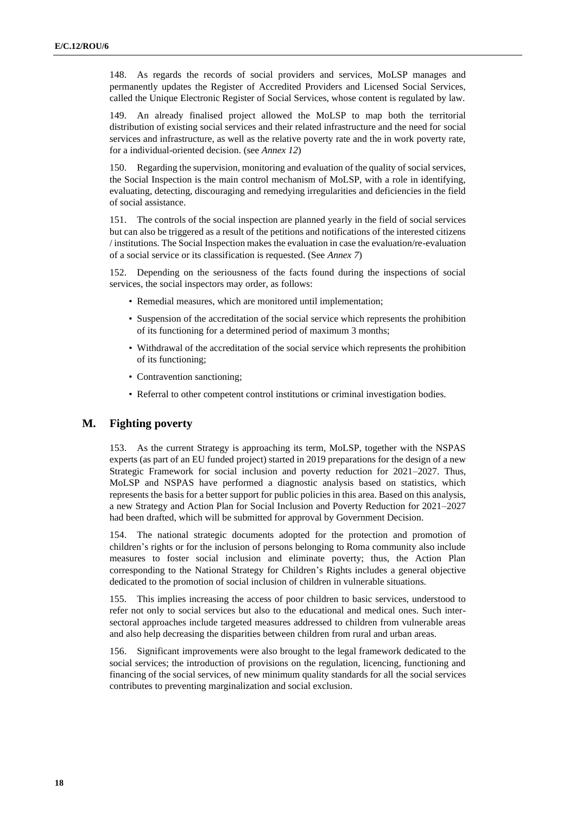148. As regards the records of social providers and services, MoLSP manages and permanently updates the Register of Accredited Providers and Licensed Social Services, called the Unique Electronic Register of Social Services, whose content is regulated by law.

149. An already finalised project allowed the MoLSP to map both the territorial distribution of existing social services and their related infrastructure and the need for social services and infrastructure, as well as the relative poverty rate and the in work poverty rate, for a individual-oriented decision. (see *Annex 12*)

150. Regarding the supervision, monitoring and evaluation of the quality of social services, the Social Inspection is the main control mechanism of MoLSP, with a role in identifying, evaluating, detecting, discouraging and remedying irregularities and deficiencies in the field of social assistance.

151. The controls of the social inspection are planned yearly in the field of social services but can also be triggered as a result of the petitions and notifications of the interested citizens / institutions. The Social Inspection makes the evaluation in case the evaluation/re-evaluation of a social service or its classification is requested. (See *Annex 7*)

152. Depending on the seriousness of the facts found during the inspections of social services, the social inspectors may order, as follows:

- Remedial measures, which are monitored until implementation;
- Suspension of the accreditation of the social service which represents the prohibition of its functioning for a determined period of maximum 3 months;
- Withdrawal of the accreditation of the social service which represents the prohibition of its functioning;
- Contravention sanctioning;
- Referral to other competent control institutions or criminal investigation bodies.

### **M. Fighting poverty**

153. As the current Strategy is approaching its term, MoLSP, together with the NSPAS experts (as part of an EU funded project) started in 2019 preparations for the design of a new Strategic Framework for social inclusion and poverty reduction for 2021–2027. Thus, MoLSP and NSPAS have performed a diagnostic analysis based on statistics, which represents the basis for a better support for public policies in this area. Based on this analysis, a new Strategy and Action Plan for Social Inclusion and Poverty Reduction for 2021–2027 had been drafted, which will be submitted for approval by Government Decision.

154. The national strategic documents adopted for the protection and promotion of children's rights or for the inclusion of persons belonging to Roma community also include measures to foster social inclusion and eliminate poverty; thus, the Action Plan corresponding to the National Strategy for Children's Rights includes a general objective dedicated to the promotion of social inclusion of children in vulnerable situations.

155. This implies increasing the access of poor children to basic services, understood to refer not only to social services but also to the educational and medical ones. Such intersectoral approaches include targeted measures addressed to children from vulnerable areas and also help decreasing the disparities between children from rural and urban areas.

156. Significant improvements were also brought to the legal framework dedicated to the social services; the introduction of provisions on the regulation, licencing, functioning and financing of the social services, of new minimum quality standards for all the social services contributes to preventing marginalization and social exclusion.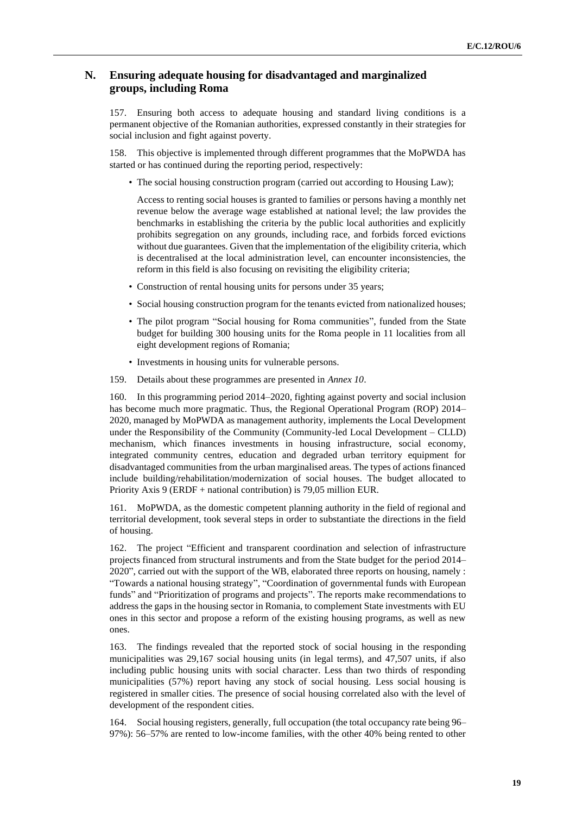# **N. Ensuring adequate housing for disadvantaged and marginalized groups, including Roma**

157. Ensuring both access to adequate housing and standard living conditions is a permanent objective of the Romanian authorities, expressed constantly in their strategies for social inclusion and fight against poverty.

158. This objective is implemented through different programmes that the MoPWDA has started or has continued during the reporting period, respectively:

• The social housing construction program (carried out according to Housing Law);

Access to renting social houses is granted to families or persons having a monthly net revenue below the average wage established at national level; the law provides the benchmarks in establishing the criteria by the public local authorities and explicitly prohibits segregation on any grounds, including race, and forbids forced evictions without due guarantees. Given that the implementation of the eligibility criteria, which is decentralised at the local administration level, can encounter inconsistencies, the reform in this field is also focusing on revisiting the eligibility criteria;

- Construction of rental housing units for persons under 35 years;
- Social housing construction program for the tenants evicted from nationalized houses;
- The pilot program "Social housing for Roma communities", funded from the State budget for building 300 housing units for the Roma people in 11 localities from all eight development regions of Romania;
- Investments in housing units for vulnerable persons.
- 159. Details about these programmes are presented in *Annex 10*.

160. In this programming period 2014–2020, fighting against poverty and social inclusion has become much more pragmatic. Thus, the Regional Operational Program (ROP) 2014– 2020, managed by MoPWDA as management authority, implements the Local Development under the Responsibility of the Community (Community-led Local Development – CLLD) mechanism, which finances investments in housing infrastructure, social economy, integrated community centres, education and degraded urban territory equipment for disadvantaged communities from the urban marginalised areas. The types of actions financed include building/rehabilitation/modernization of social houses. The budget allocated to Priority Axis 9 (ERDF + national contribution) is 79,05 million EUR.

161. MoPWDA, as the domestic competent planning authority in the field of regional and territorial development, took several steps in order to substantiate the directions in the field of housing.

162. The project "Efficient and transparent coordination and selection of infrastructure projects financed from structural instruments and from the State budget for the period 2014– 2020", carried out with the support of the WB, elaborated three reports on housing, namely : "Towards a national housing strategy", "Coordination of governmental funds with European funds" and "Prioritization of programs and projects". The reports make recommendations to address the gaps in the housing sector in Romania, to complement State investments with EU ones in this sector and propose a reform of the existing housing programs, as well as new ones.

163. The findings revealed that the reported stock of social housing in the responding municipalities was 29,167 social housing units (in legal terms), and 47,507 units, if also including public housing units with social character. Less than two thirds of responding municipalities (57%) report having any stock of social housing. Less social housing is registered in smaller cities. The presence of social housing correlated also with the level of development of the respondent cities.

164. Social housing registers, generally, full occupation (the total occupancy rate being 96– 97%): 56–57% are rented to low-income families, with the other 40% being rented to other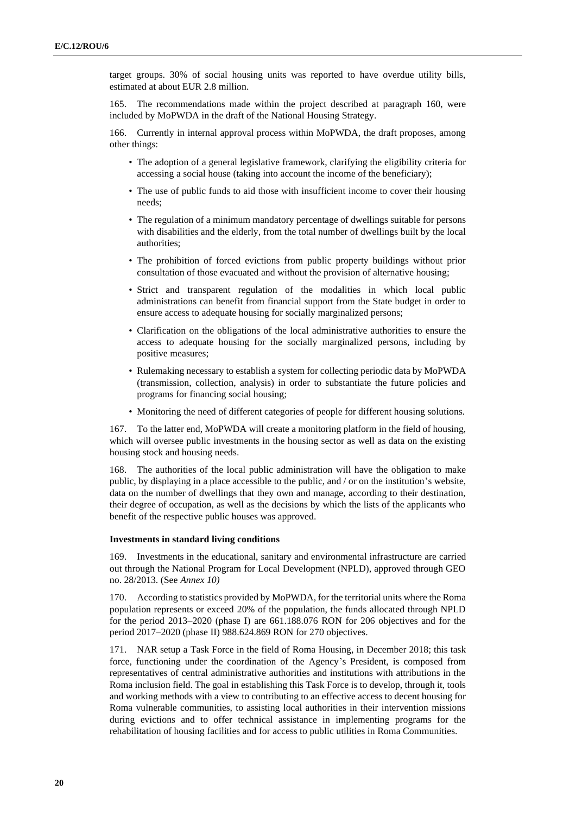target groups. 30% of social housing units was reported to have overdue utility bills, estimated at about EUR 2.8 million.

165. The recommendations made within the project described at paragraph 160, were included by MoPWDA in the draft of the National Housing Strategy.

166. Currently in internal approval process within MoPWDA, the draft proposes, among other things:

- The adoption of a general legislative framework, clarifying the eligibility criteria for accessing a social house (taking into account the income of the beneficiary);
- The use of public funds to aid those with insufficient income to cover their housing needs;
- The regulation of a minimum mandatory percentage of dwellings suitable for persons with disabilities and the elderly, from the total number of dwellings built by the local authorities;
- The prohibition of forced evictions from public property buildings without prior consultation of those evacuated and without the provision of alternative housing;
- Strict and transparent regulation of the modalities in which local public administrations can benefit from financial support from the State budget in order to ensure access to adequate housing for socially marginalized persons;
- Clarification on the obligations of the local administrative authorities to ensure the access to adequate housing for the socially marginalized persons, including by positive measures;
- Rulemaking necessary to establish a system for collecting periodic data by MoPWDA (transmission, collection, analysis) in order to substantiate the future policies and programs for financing social housing;
- Monitoring the need of different categories of people for different housing solutions.

167. To the latter end, MoPWDA will create a monitoring platform in the field of housing, which will oversee public investments in the housing sector as well as data on the existing housing stock and housing needs.

168. The authorities of the local public administration will have the obligation to make public, by displaying in a place accessible to the public, and / or on the institution's website, data on the number of dwellings that they own and manage, according to their destination, their degree of occupation, as well as the decisions by which the lists of the applicants who benefit of the respective public houses was approved.

#### **Investments in standard living conditions**

169. Investments in the educational, sanitary and environmental infrastructure are carried out through the National Program for Local Development (NPLD), approved through GEO no. 28/2013. (See *Annex 10)*

170. According to statistics provided by MoPWDA, for the territorial units where the Roma population represents or exceed 20% of the population, the funds allocated through NPLD for the period 2013–2020 (phase I) are 661.188.076 RON for 206 objectives and for the period 2017–2020 (phase II) 988.624.869 RON for 270 objectives.

171. NAR setup a Task Force in the field of Roma Housing, in December 2018; this task force, functioning under the coordination of the Agency's President, is composed from representatives of central administrative authorities and institutions with attributions in the Roma inclusion field. The goal in establishing this Task Force is to develop, through it, tools and working methods with a view to contributing to an effective access to decent housing for Roma vulnerable communities, to assisting local authorities in their intervention missions during evictions and to offer technical assistance in implementing programs for the rehabilitation of housing facilities and for access to public utilities in Roma Communities.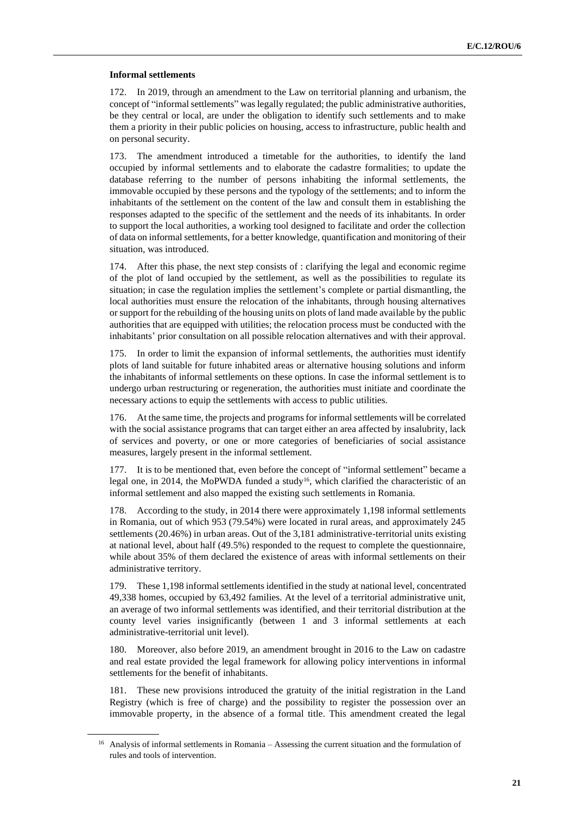#### **Informal settlements**

172. In 2019, through an amendment to the Law on territorial planning and urbanism, the concept of "informal settlements" was legally regulated; the public administrative authorities, be they central or local, are under the obligation to identify such settlements and to make them a priority in their public policies on housing, access to infrastructure, public health and on personal security.

173. The amendment introduced a timetable for the authorities, to identify the land occupied by informal settlements and to elaborate the cadastre formalities; to update the database referring to the number of persons inhabiting the informal settlements, the immovable occupied by these persons and the typology of the settlements; and to inform the inhabitants of the settlement on the content of the law and consult them in establishing the responses adapted to the specific of the settlement and the needs of its inhabitants. In order to support the local authorities, a working tool designed to facilitate and order the collection of data on informal settlements, for a better knowledge, quantification and monitoring of their situation, was introduced.

174. After this phase, the next step consists of : clarifying the legal and economic regime of the plot of land occupied by the settlement, as well as the possibilities to regulate its situation; in case the regulation implies the settlement's complete or partial dismantling, the local authorities must ensure the relocation of the inhabitants, through housing alternatives or support for the rebuilding of the housing units on plots of land made available by the public authorities that are equipped with utilities; the relocation process must be conducted with the inhabitants' prior consultation on all possible relocation alternatives and with their approval.

175. In order to limit the expansion of informal settlements, the authorities must identify plots of land suitable for future inhabited areas or alternative housing solutions and inform the inhabitants of informal settlements on these options. In case the informal settlement is to undergo urban restructuring or regeneration, the authorities must initiate and coordinate the necessary actions to equip the settlements with access to public utilities.

176. At the same time, the projects and programs for informal settlements will be correlated with the social assistance programs that can target either an area affected by insalubrity, lack of services and poverty, or one or more categories of beneficiaries of social assistance measures, largely present in the informal settlement.

177. It is to be mentioned that, even before the concept of "informal settlement" became a legal one, in 2014, the MoPWDA funded a study<sup>16</sup>, which clarified the characteristic of an informal settlement and also mapped the existing such settlements in Romania.

178. According to the study, in 2014 there were approximately 1,198 informal settlements in Romania, out of which 953 (79.54%) were located in rural areas, and approximately 245 settlements (20.46%) in urban areas. Out of the 3,181 administrative-territorial units existing at national level, about half (49.5%) responded to the request to complete the questionnaire, while about 35% of them declared the existence of areas with informal settlements on their administrative territory.

179. These 1,198 informal settlements identified in the study at national level, concentrated 49,338 homes, occupied by 63,492 families. At the level of a territorial administrative unit, an average of two informal settlements was identified, and their territorial distribution at the county level varies insignificantly (between 1 and 3 informal settlements at each administrative-territorial unit level).

180. Moreover, also before 2019, an amendment brought in 2016 to the Law on cadastre and real estate provided the legal framework for allowing policy interventions in informal settlements for the benefit of inhabitants.

181. These new provisions introduced the gratuity of the initial registration in the Land Registry (which is free of charge) and the possibility to register the possession over an immovable property, in the absence of a formal title. This amendment created the legal

<sup>&</sup>lt;sup>16</sup> Analysis of informal settlements in Romania – Assessing the current situation and the formulation of rules and tools of intervention.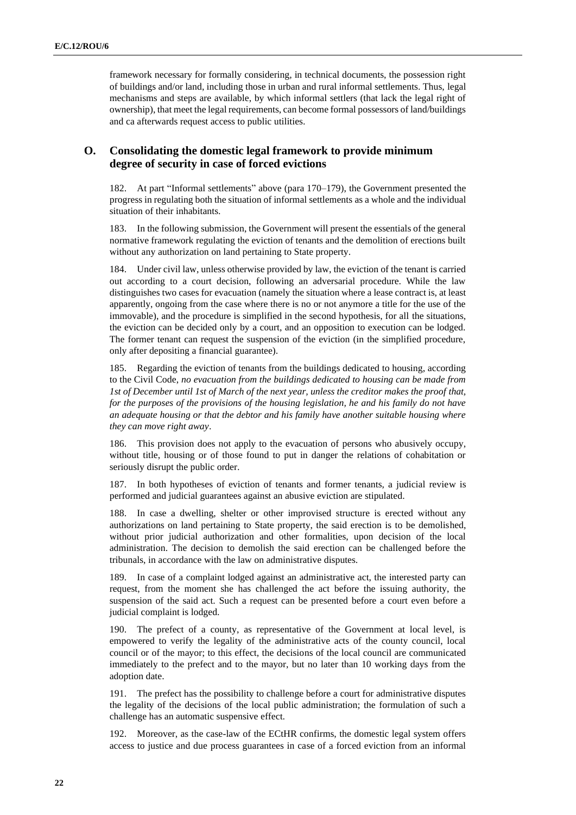framework necessary for formally considering, in technical documents, the possession right of buildings and/or land, including those in urban and rural informal settlements. Thus, legal mechanisms and steps are available, by which informal settlers (that lack the legal right of ownership), that meet the legal requirements, can become formal possessors of land/buildings and ca afterwards request access to public utilities.

# **O. Consolidating the domestic legal framework to provide minimum degree of security in case of forced evictions**

182. At part "Informal settlements" above (para 170–179), the Government presented the progress in regulating both the situation of informal settlements as a whole and the individual situation of their inhabitants.

183. In the following submission, the Government will present the essentials of the general normative framework regulating the eviction of tenants and the demolition of erections built without any authorization on land pertaining to State property.

184. Under civil law, unless otherwise provided by law, the eviction of the tenant is carried out according to a court decision, following an adversarial procedure. While the law distinguishes two cases for evacuation (namely the situation where a lease contract is, at least apparently, ongoing from the case where there is no or not anymore a title for the use of the immovable), and the procedure is simplified in the second hypothesis, for all the situations, the eviction can be decided only by a court, and an opposition to execution can be lodged. The former tenant can request the suspension of the eviction (in the simplified procedure, only after depositing a financial guarantee).

185. Regarding the eviction of tenants from the buildings dedicated to housing, according to the Civil Code, *no evacuation from the buildings dedicated to housing can be made from 1st of December until 1st of March of the next year, unless the creditor makes the proof that, for the purposes of the provisions of the housing legislation, he and his family do not have an adequate housing or that the debtor and his family have another suitable housing where they can move right away*.

186. This provision does not apply to the evacuation of persons who abusively occupy, without title, housing or of those found to put in danger the relations of cohabitation or seriously disrupt the public order.

187. In both hypotheses of eviction of tenants and former tenants, a judicial review is performed and judicial guarantees against an abusive eviction are stipulated.

188. In case a dwelling, shelter or other improvised structure is erected without any authorizations on land pertaining to State property, the said erection is to be demolished, without prior judicial authorization and other formalities, upon decision of the local administration. The decision to demolish the said erection can be challenged before the tribunals, in accordance with the law on administrative disputes.

189. In case of a complaint lodged against an administrative act, the interested party can request, from the moment she has challenged the act before the issuing authority, the suspension of the said act. Such a request can be presented before a court even before a judicial complaint is lodged.

190. The prefect of a county, as representative of the Government at local level, is empowered to verify the legality of the administrative acts of the county council, local council or of the mayor; to this effect, the decisions of the local council are communicated immediately to the prefect and to the mayor, but no later than 10 working days from the adoption date.

191. The prefect has the possibility to challenge before a court for administrative disputes the legality of the decisions of the local public administration; the formulation of such a challenge has an automatic suspensive effect.

192. Moreover, as the case-law of the ECtHR confirms, the domestic legal system offers access to justice and due process guarantees in case of a forced eviction from an informal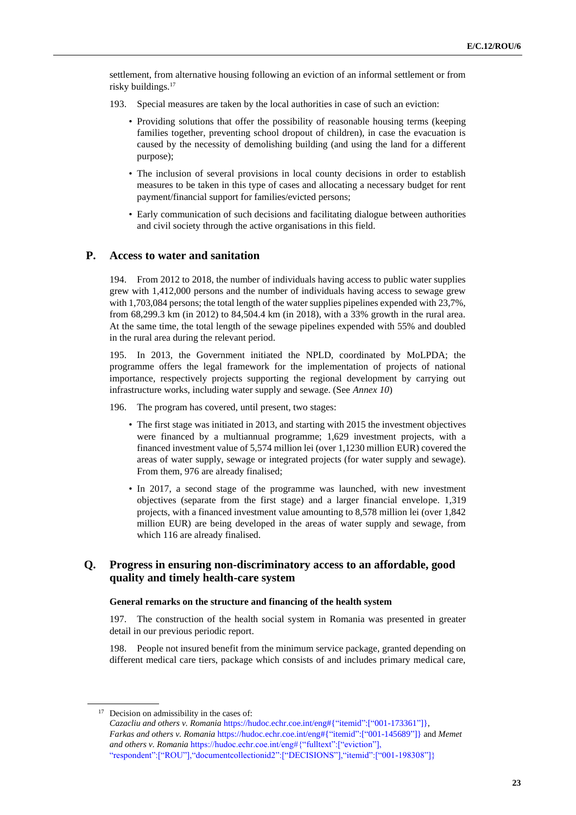settlement, from alternative housing following an eviction of an informal settlement or from risky buildings.<sup>17</sup>

- 193. Special measures are taken by the local authorities in case of such an eviction:
	- Providing solutions that offer the possibility of reasonable housing terms (keeping families together, preventing school dropout of children), in case the evacuation is caused by the necessity of demolishing building (and using the land for a different purpose);
	- The inclusion of several provisions in local county decisions in order to establish measures to be taken in this type of cases and allocating a necessary budget for rent payment/financial support for families/evicted persons;
	- Early communication of such decisions and facilitating dialogue between authorities and civil society through the active organisations in this field.

#### **P. Access to water and sanitation**

194. From 2012 to 2018, the number of individuals having access to public water supplies grew with 1,412,000 persons and the number of individuals having access to sewage grew with 1,703,084 persons; the total length of the water supplies pipelines expended with 23,7%, from 68,299.3 km (in 2012) to 84,504.4 km (in 2018), with a 33% growth in the rural area. At the same time, the total length of the sewage pipelines expended with 55% and doubled in the rural area during the relevant period.

195. In 2013, the Government initiated the NPLD, coordinated by MoLPDA; the programme offers the legal framework for the implementation of projects of national importance, respectively projects supporting the regional development by carrying out infrastructure works, including water supply and sewage. (See *Annex 10*)

196. The program has covered, until present, two stages:

- The first stage was initiated in 2013, and starting with 2015 the investment objectives were financed by a multiannual programme; 1,629 investment projects, with a financed investment value of 5,574 million lei (over 1,1230 million EUR) covered the areas of water supply, sewage or integrated projects (for water supply and sewage). From them, 976 are already finalised;
- In 2017, a second stage of the programme was launched, with new investment objectives (separate from the first stage) and a larger financial envelope. 1,319 projects, with a financed investment value amounting to 8,578 million lei (over 1,842 million EUR) are being developed in the areas of water supply and sewage, from which 116 are already finalised.

# **Q. Progress in ensuring non-discriminatory access to an affordable, good quality and timely health-care system**

#### **General remarks on the structure and financing of the health system**

197. The construction of the health social system in Romania was presented in greater detail in our previous periodic report.

198. People not insured benefit from the minimum service package, granted depending on different medical care tiers, package which consists of and includes primary medical care,

<sup>17</sup> Decision on admissibility in the cases of:

*Cazacliu and others v. Romania* [https://hudoc.echr.coe.int/eng#{"itemid":\["001-173361"\]},](https://hudoc.echr.coe.int/eng#{"itemid":["001-173361"]}) *Farkas and others v. Romania* [https://hudoc.echr.coe.int/eng#{"itemid":\["001-145689"\]}](https://hudoc.echr.coe.int/eng#{"itemid":["001-145689"]}) and *Memet and others v. Romania* [https://hudoc.echr.coe.int/eng#{"fulltext":\["eviction"\],](https://hudoc.echr.coe.int/eng#{) ["respondent":\["ROU"\],"documentcollectionid2":\["DECISIONS"\],"itemid":\["001-198308"\]}](https://hudoc.echr.coe.int/eng#{)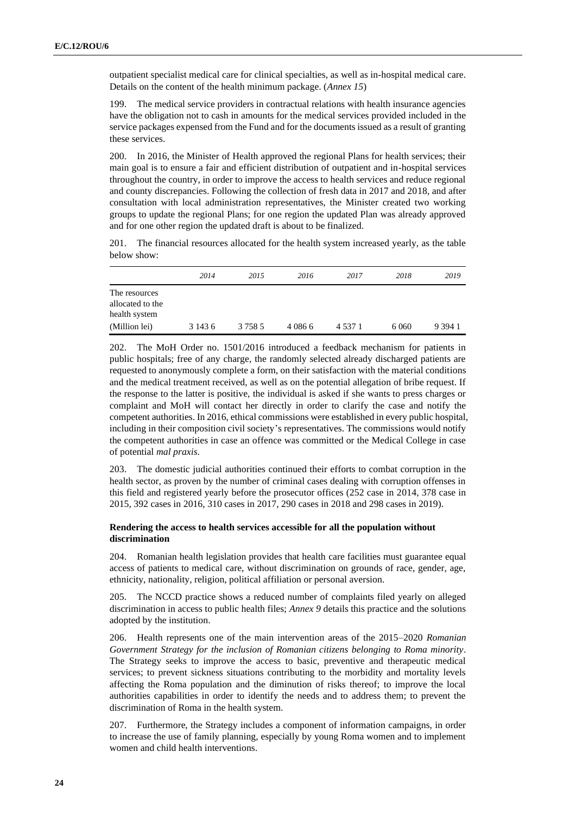outpatient specialist medical care for clinical specialties, as well as in-hospital medical care. Details on the content of the health minimum package. (*Annex 15*)

199. The medical service providers in contractual relations with health insurance agencies have the obligation not to cash in amounts for the medical services provided included in the service packages expensed from the Fund and for the documents issued as a result of granting these services.

200. In 2016, the Minister of Health approved the regional Plans for health services; their main goal is to ensure a fair and efficient distribution of outpatient and in-hospital services throughout the country, in order to improve the access to health services and reduce regional and county discrepancies. Following the collection of fresh data in 2017 and 2018, and after consultation with local administration representatives, the Minister created two working groups to update the regional Plans; for one region the updated Plan was already approved and for one other region the updated draft is about to be finalized.

201. The financial resources allocated for the health system increased yearly, as the table below show:

|                                                    | 2014    | 2015      | 2016      | 2017      | 2018    | 2019      |
|----------------------------------------------------|---------|-----------|-----------|-----------|---------|-----------|
| The resources<br>allocated to the<br>health system |         |           |           |           |         |           |
| (Million lei)                                      | 3 143 6 | 3 7 5 8 5 | 4 0 8 6 6 | 4 5 3 7 1 | 6 0 6 0 | 9 3 9 4 1 |

202. The MoH Order no. 1501/2016 introduced a feedback mechanism for patients in public hospitals; free of any charge, the randomly selected already discharged patients are requested to anonymously complete a form, on their satisfaction with the material conditions and the medical treatment received, as well as on the potential allegation of bribe request. If the response to the latter is positive, the individual is asked if she wants to press charges or complaint and MoH will contact her directly in order to clarify the case and notify the competent authorities. In 2016, ethical commissions were established in every public hospital, including in their composition civil society's representatives. The commissions would notify the competent authorities in case an offence was committed or the Medical College in case of potential *mal praxis*.

203. The domestic judicial authorities continued their efforts to combat corruption in the health sector, as proven by the number of criminal cases dealing with corruption offenses in this field and registered yearly before the prosecutor offices (252 case in 2014, 378 case in 2015, 392 cases in 2016, 310 cases in 2017, 290 cases in 2018 and 298 cases in 2019).

### **Rendering the access to health services accessible for all the population without discrimination**

204. Romanian health legislation provides that health care facilities must guarantee equal access of patients to medical care, without discrimination on grounds of race, gender, age, ethnicity, nationality, religion, political affiliation or personal aversion.

205. The NCCD practice shows a reduced number of complaints filed yearly on alleged discrimination in access to public health files; *Annex 9* details this practice and the solutions adopted by the institution.

206. Health represents one of the main intervention areas of the 2015–2020 *Romanian Government Strategy for the inclusion of Romanian citizens belonging to Roma minority*. The Strategy seeks to improve the access to basic, preventive and therapeutic medical services; to prevent sickness situations contributing to the morbidity and mortality levels affecting the Roma population and the diminution of risks thereof; to improve the local authorities capabilities in order to identify the needs and to address them; to prevent the discrimination of Roma in the health system.

207. Furthermore, the Strategy includes a component of information campaigns, in order to increase the use of family planning, especially by young Roma women and to implement women and child health interventions.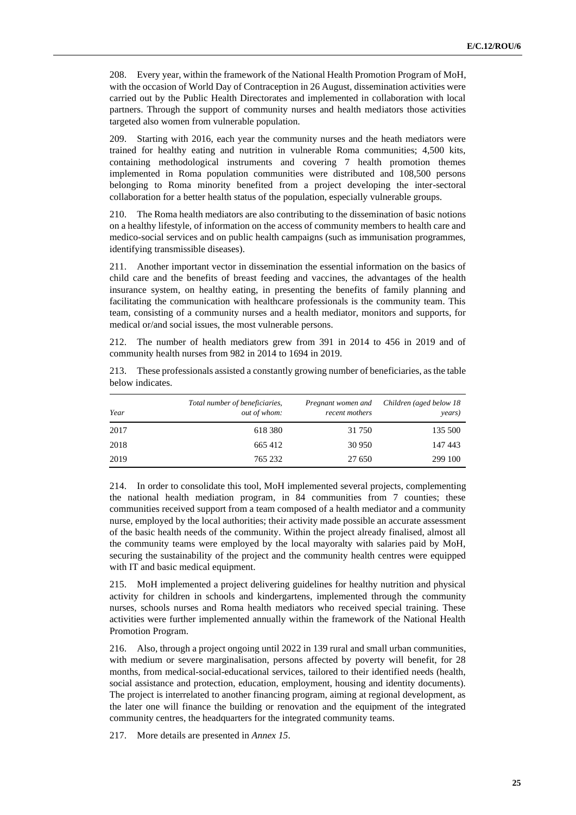208. Every year, within the framework of the National Health Promotion Program of MoH, with the occasion of World Day of Contraception in 26 August, dissemination activities were carried out by the Public Health Directorates and implemented in collaboration with local partners. Through the support of community nurses and health mediators those activities targeted also women from vulnerable population.

209. Starting with 2016, each year the community nurses and the heath mediators were trained for healthy eating and nutrition in vulnerable Roma communities; 4,500 kits, containing methodological instruments and covering 7 health promotion themes implemented in Roma population communities were distributed and 108,500 persons belonging to Roma minority benefited from a project developing the inter-sectoral collaboration for a better health status of the population, especially vulnerable groups.

210. The Roma health mediators are also contributing to the dissemination of basic notions on a healthy lifestyle, of information on the access of community members to health care and medico-social services and on public health campaigns (such as immunisation programmes, identifying transmissible diseases).

211. Another important vector in dissemination the essential information on the basics of child care and the benefits of breast feeding and vaccines, the advantages of the health insurance system, on healthy eating, in presenting the benefits of family planning and facilitating the communication with healthcare professionals is the community team. This team, consisting of a community nurses and a health mediator, monitors and supports, for medical or/and social issues, the most vulnerable persons.

212. The number of health mediators grew from 391 in 2014 to 456 in 2019 and of community health nurses from 982 in 2014 to 1694 in 2019.

| Year | Total number of beneficiaries,<br>out of whom: | Pregnant women and<br>recent mothers | Children (aged below 18<br>years) |
|------|------------------------------------------------|--------------------------------------|-----------------------------------|
| 2017 | 618 380                                        | 31 750                               | 135 500                           |
| 2018 | 665412                                         | 30 950                               | 147 443                           |
| 2019 | 765 232                                        | 27 650                               | 299 100                           |

213. These professionals assisted a constantly growing number of beneficiaries, as the table below indicates.

214. In order to consolidate this tool, MoH implemented several projects, complementing the national health mediation program, in 84 communities from 7 counties; these communities received support from a team composed of a health mediator and a community nurse, employed by the local authorities; their activity made possible an accurate assessment of the basic health needs of the community. Within the project already finalised, almost all the community teams were employed by the local mayoralty with salaries paid by MoH, securing the sustainability of the project and the community health centres were equipped with IT and basic medical equipment.

215. MoH implemented a project delivering guidelines for healthy nutrition and physical activity for children in schools and kindergartens, implemented through the community nurses, schools nurses and Roma health mediators who received special training. These activities were further implemented annually within the framework of the National Health Promotion Program.

216. Also, through a project ongoing until 2022 in 139 rural and small urban communities, with medium or severe marginalisation, persons affected by poverty will benefit, for 28 months, from medical-social-educational services, tailored to their identified needs (health, social assistance and protection, education, employment, housing and identity documents). The project is interrelated to another financing program, aiming at regional development, as the later one will finance the building or renovation and the equipment of the integrated community centres, the headquarters for the integrated community teams.

217. More details are presented in *Annex 15*.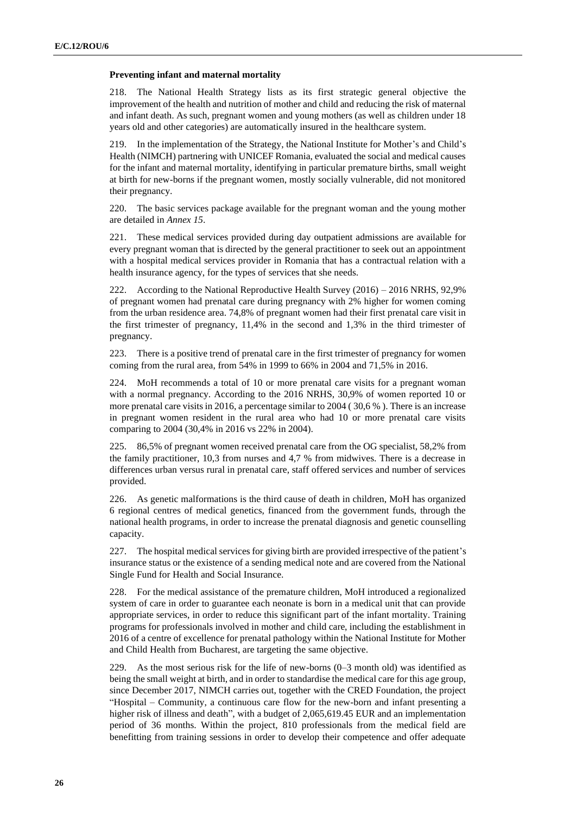#### **Preventing infant and maternal mortality**

218. The National Health Strategy lists as its first strategic general objective the improvement of the health and nutrition of mother and child and reducing the risk of maternal and infant death. As such, pregnant women and young mothers (as well as children under 18 years old and other categories) are automatically insured in the healthcare system.

219. In the implementation of the Strategy, the National Institute for Mother's and Child's Health (NIMCH) partnering with UNICEF Romania, evaluated the social and medical causes for the infant and maternal mortality, identifying in particular premature births, small weight at birth for new-borns if the pregnant women, mostly socially vulnerable, did not monitored their pregnancy.

220. The basic services package available for the pregnant woman and the young mother are detailed in *Annex 15*.

221. These medical services provided during day outpatient admissions are available for every pregnant woman that is directed by the general practitioner to seek out an appointment with a hospital medical services provider in Romania that has a contractual relation with a health insurance agency, for the types of services that she needs.

222. According to the National Reproductive Health Survey (2016) – 2016 NRHS, 92,9% of pregnant women had prenatal care during pregnancy with 2% higher for women coming from the urban residence area. 74,8% of pregnant women had their first prenatal care visit in the first trimester of pregnancy, 11,4% in the second and 1,3% in the third trimester of pregnancy.

223. There is a positive trend of prenatal care in the first trimester of pregnancy for women coming from the rural area, from 54% in 1999 to 66% in 2004 and 71,5% in 2016.

MoH recommends a total of 10 or more prenatal care visits for a pregnant woman with a normal pregnancy. According to the 2016 NRHS, 30,9% of women reported 10 or more prenatal care visits in 2016, a percentage similar to 2004 ( 30,6 % ). There is an increase in pregnant women resident in the rural area who had 10 or more prenatal care visits comparing to 2004 (30,4% in 2016 vs 22% in 2004).

225. 86,5% of pregnant women received prenatal care from the OG specialist, 58,2% from the family practitioner, 10,3 from nurses and 4,7 % from midwives. There is a decrease in differences urban versus rural in prenatal care, staff offered services and number of services provided.

226. As genetic malformations is the third cause of death in children, MoH has organized 6 regional centres of medical genetics, financed from the government funds, through the national health programs, in order to increase the prenatal diagnosis and genetic counselling capacity.

227. The hospital medical services for giving birth are provided irrespective of the patient's insurance status or the existence of a sending medical note and are covered from the National Single Fund for Health and Social Insurance.

228. For the medical assistance of the premature children, MoH introduced a regionalized system of care in order to guarantee each neonate is born in a medical unit that can provide appropriate services, in order to reduce this significant part of the infant mortality. Training programs for professionals involved in mother and child care, including the establishment in 2016 of a centre of excellence for prenatal pathology within the National Institute for Mother and Child Health from Bucharest, are targeting the same objective.

229. As the most serious risk for the life of new-borns (0–3 month old) was identified as being the small weight at birth, and in order to standardise the medical care for this age group, since December 2017, NIMCH carries out, together with the CRED Foundation, the project "Hospital – Community, a continuous care flow for the new-born and infant presenting a higher risk of illness and death", with a budget of 2,065,619.45 EUR and an implementation period of 36 months. Within the project, 810 professionals from the medical field are benefitting from training sessions in order to develop their competence and offer adequate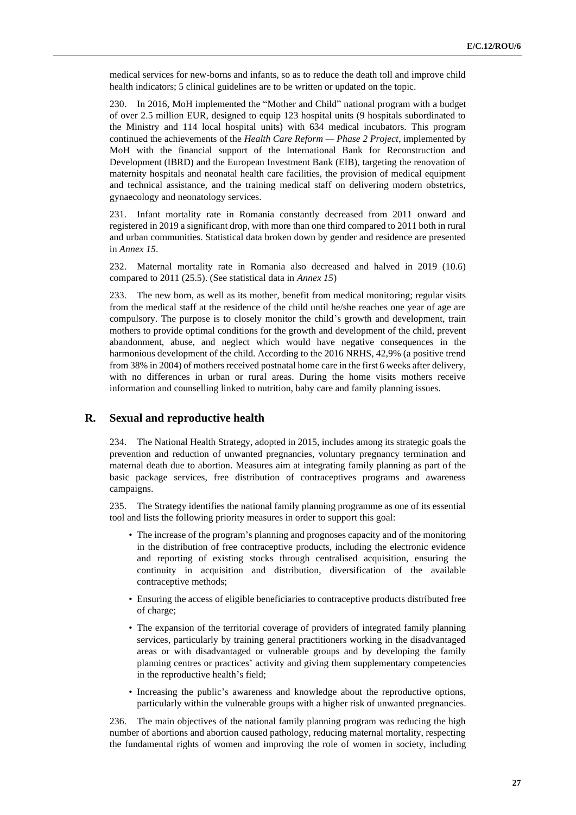medical services for new-borns and infants, so as to reduce the death toll and improve child health indicators; 5 clinical guidelines are to be written or updated on the topic.

230. In 2016, MoH implemented the "Mother and Child" national program with a budget of over 2.5 million EUR, designed to equip 123 hospital units (9 hospitals subordinated to the Ministry and 114 local hospital units) with 634 medical incubators. This program continued the achievements of the *Health Care Reform — Phase 2 Project*, implemented by MoH with the financial support of the International Bank for Reconstruction and Development (IBRD) and the European Investment Bank (EIB), targeting the renovation of maternity hospitals and neonatal health care facilities, the provision of medical equipment and technical assistance, and the training medical staff on delivering modern obstetrics, gynaecology and neonatology services.

231. Infant mortality rate in Romania constantly decreased from 2011 onward and registered in 2019 a significant drop, with more than one third compared to 2011 both in rural and urban communities. Statistical data broken down by gender and residence are presented in *Annex 15*.

232. Maternal mortality rate in Romania also decreased and halved in 2019 (10.6) compared to 2011 (25.5). (See statistical data in *Annex 15*)

233. The new born, as well as its mother, benefit from medical monitoring; regular visits from the medical staff at the residence of the child until he/she reaches one year of age are compulsory. The purpose is to closely monitor the child's growth and development, train mothers to provide optimal conditions for the growth and development of the child, prevent abandonment, abuse, and neglect which would have negative consequences in the harmonious development of the child. According to the 2016 NRHS, 42,9% (a positive trend from 38% in 2004) of mothers received postnatal home care in the first 6 weeks after delivery, with no differences in urban or rural areas. During the home visits mothers receive information and counselling linked to nutrition, baby care and family planning issues.

### **R. Sexual and reproductive health**

234. The National Health Strategy, adopted in 2015, includes among its strategic goals the prevention and reduction of unwanted pregnancies, voluntary pregnancy termination and maternal death due to abortion. Measures aim at integrating family planning as part of the basic package services, free distribution of contraceptives programs and awareness campaigns.

235. The Strategy identifies the national family planning programme as one of its essential tool and lists the following priority measures in order to support this goal:

- The increase of the program's planning and prognoses capacity and of the monitoring in the distribution of free contraceptive products, including the electronic evidence and reporting of existing stocks through centralised acquisition, ensuring the continuity in acquisition and distribution, diversification of the available contraceptive methods;
- Ensuring the access of eligible beneficiaries to contraceptive products distributed free of charge;
- The expansion of the territorial coverage of providers of integrated family planning services, particularly by training general practitioners working in the disadvantaged areas or with disadvantaged or vulnerable groups and by developing the family planning centres or practices' activity and giving them supplementary competencies in the reproductive health's field;
- Increasing the public's awareness and knowledge about the reproductive options, particularly within the vulnerable groups with a higher risk of unwanted pregnancies.

236. The main objectives of the national family planning program was reducing the high number of abortions and abortion caused pathology, reducing maternal mortality, respecting the fundamental rights of women and improving the role of women in society, including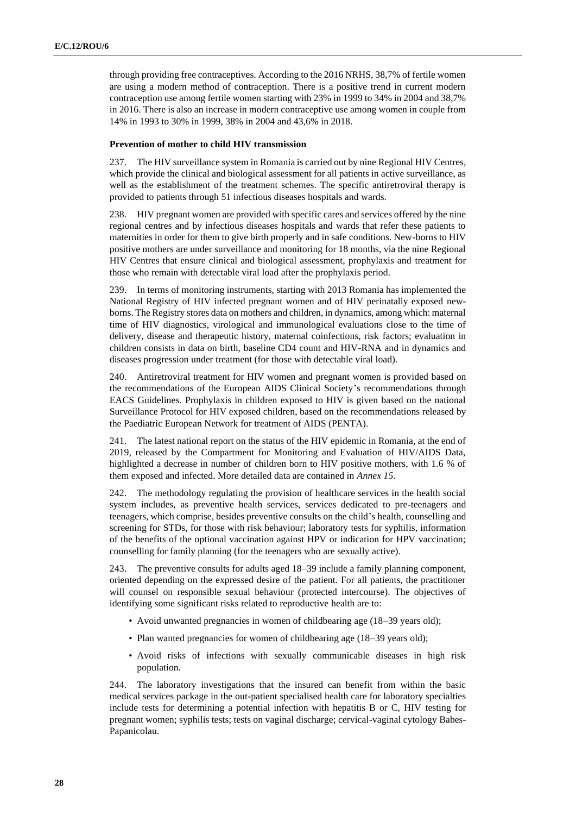through providing free contraceptives. According to the 2016 NRHS, 38,7% of fertile women are using a modern method of contraception. There is a positive trend in current modern contraception use among fertile women starting with 23% in 1999 to 34% in 2004 and 38,7% in 2016. There is also an increase in modern contraceptive use among women in couple from 14% in 1993 to 30% in 1999, 38% in 2004 and 43,6% in 2018.

#### **Prevention of mother to child HIV transmission**

237. The HIV surveillance system in Romania is carried out by nine Regional HIV Centres, which provide the clinical and biological assessment for all patients in active surveillance, as well as the establishment of the treatment schemes. The specific antiretroviral therapy is provided to patients through 51 infectious diseases hospitals and wards.

238. HIV pregnant women are provided with specific cares and services offered by the nine regional centres and by infectious diseases hospitals and wards that refer these patients to maternities in order for them to give birth properly and in safe conditions. New-borns to HIV positive mothers are under surveillance and monitoring for 18 months, via the nine Regional HIV Centres that ensure clinical and biological assessment, prophylaxis and treatment for those who remain with detectable viral load after the prophylaxis period.

239. In terms of monitoring instruments, starting with 2013 Romania has implemented the National Registry of HIV infected pregnant women and of HIV perinatally exposed newborns. The Registry stores data on mothers and children, in dynamics, among which: maternal time of HIV diagnostics, virological and immunological evaluations close to the time of delivery, disease and therapeutic history, maternal coinfections, risk factors; evaluation in children consists in data on birth, baseline CD4 count and HIV-RNA and in dynamics and diseases progression under treatment (for those with detectable viral load).

240. Antiretroviral treatment for HIV women and pregnant women is provided based on the recommendations of the European AIDS Clinical Society's recommendations through EACS Guidelines. Prophylaxis in children exposed to HIV is given based on the national Surveillance Protocol for HIV exposed children, based on the recommendations released by the Paediatric European Network for treatment of AIDS (PENTA).

241. The latest national report on the status of the HIV epidemic in Romania, at the end of 2019, released by the Compartment for Monitoring and Evaluation of HIV/AIDS Data, highlighted a decrease in number of children born to HIV positive mothers, with 1.6 % of them exposed and infected. More detailed data are contained in *Annex 15*.

242. The methodology regulating the provision of healthcare services in the health social system includes, as preventive health services, services dedicated to pre-teenagers and teenagers, which comprise, besides preventive consults on the child's health, counselling and screening for STDs, for those with risk behaviour; laboratory tests for syphilis, information of the benefits of the optional vaccination against HPV or indication for HPV vaccination; counselling for family planning (for the teenagers who are sexually active).

243. The preventive consults for adults aged 18–39 include a family planning component, oriented depending on the expressed desire of the patient. For all patients, the practitioner will counsel on responsible sexual behaviour (protected intercourse). The objectives of identifying some significant risks related to reproductive health are to:

- Avoid unwanted pregnancies in women of childbearing age (18–39 years old);
- Plan wanted pregnancies for women of childbearing age (18–39 years old);
- Avoid risks of infections with sexually communicable diseases in high risk population.

244. The laboratory investigations that the insured can benefit from within the basic medical services package in the out-patient specialised health care for laboratory specialties include tests for determining a potential infection with hepatitis B or C, HIV testing for pregnant women; syphilis tests; tests on vaginal discharge; cervical-vaginal cytology Babes-Papanicolau.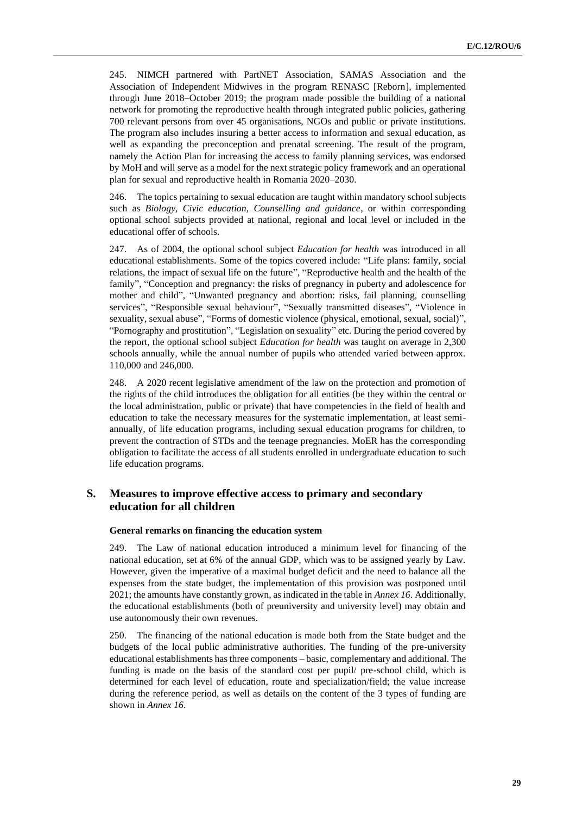245. NIMCH partnered with PartNET Association, SAMAS Association and the Association of Independent Midwives in the program RENASC [Reborn], implemented through June 2018–October 2019; the program made possible the building of a national network for promoting the reproductive health through integrated public policies, gathering 700 relevant persons from over 45 organisations, NGOs and public or private institutions. The program also includes insuring a better access to information and sexual education, as well as expanding the preconception and prenatal screening. The result of the program, namely the Action Plan for increasing the access to family planning services, was endorsed by MoH and will serve as a model for the next strategic policy framework and an operational plan for sexual and reproductive health in Romania 2020–2030.

246. The topics pertaining to sexual education are taught within mandatory school subjects such as *Biology, Civic education, Counselling and guidance*, or within corresponding optional school subjects provided at national, regional and local level or included in the educational offer of schools.

247. As of 2004, the optional school subject *Education for health* was introduced in all educational establishments. Some of the topics covered include: "Life plans: family, social relations, the impact of sexual life on the future", "Reproductive health and the health of the family", "Conception and pregnancy: the risks of pregnancy in puberty and adolescence for mother and child", "Unwanted pregnancy and abortion: risks, fail planning, counselling services", "Responsible sexual behaviour", "Sexually transmitted diseases", "Violence in sexuality, sexual abuse", "Forms of domestic violence (physical, emotional, sexual, social)", "Pornography and prostitution", "Legislation on sexuality" etc. During the period covered by the report, the optional school subject *Education for health* was taught on average in 2,300 schools annually, while the annual number of pupils who attended varied between approx. 110,000 and 246,000.

248. A 2020 recent legislative amendment of the law on the protection and promotion of the rights of the child introduces the obligation for all entities (be they within the central or the local administration, public or private) that have competencies in the field of health and education to take the necessary measures for the systematic implementation, at least semiannually, of life education programs, including sexual education programs for children, to prevent the contraction of STDs and the teenage pregnancies. MoER has the corresponding obligation to facilitate the access of all students enrolled in undergraduate education to such life education programs.

# **S. Measures to improve effective access to primary and secondary education for all children**

#### **General remarks on financing the education system**

249. The Law of national education introduced a minimum level for financing of the national education, set at 6% of the annual GDP, which was to be assigned yearly by Law. However, given the imperative of a maximal budget deficit and the need to balance all the expenses from the state budget, the implementation of this provision was postponed until 2021; the amounts have constantly grown, as indicated in the table in *Annex 16*. Additionally, the educational establishments (both of preuniversity and university level) may obtain and use autonomously their own revenues.

250. The financing of the national education is made both from the State budget and the budgets of the local public administrative authorities. The funding of the pre-university educational establishments has three components – basic, complementary and additional. The funding is made on the basis of the standard cost per pupil/ pre-school child, which is determined for each level of education, route and specialization/field; the value increase during the reference period, as well as details on the content of the 3 types of funding are shown in *Annex 16*.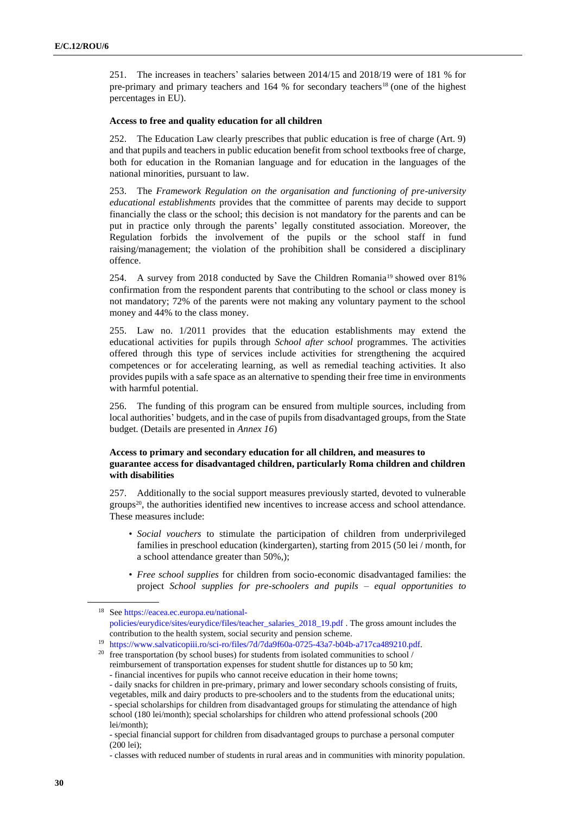251. The increases in teachers' salaries between 2014/15 and 2018/19 were of 181 % for pre-primary and primary teachers and 164 % for secondary teachers<sup>18</sup> (one of the highest percentages in EU).

#### **Access to free and quality education for all children**

252. The Education Law clearly prescribes that public education is free of charge (Art. 9) and that pupils and teachers in public education benefit from school textbooks free of charge, both for education in the Romanian language and for education in the languages of the national minorities, pursuant to law.

253. The *Framework Regulation on the organisation and functioning of pre-university educational establishments* provides that the committee of parents may decide to support financially the class or the school; this decision is not mandatory for the parents and can be put in practice only through the parents' legally constituted association. Moreover, the Regulation forbids the involvement of the pupils or the school staff in fund raising/management; the violation of the prohibition shall be considered a disciplinary offence.

254. A survey from 2018 conducted by Save the Children Romania<sup>19</sup> showed over 81% confirmation from the respondent parents that contributing to the school or class money is not mandatory; 72% of the parents were not making any voluntary payment to the school money and 44% to the class money.

255. Law no. 1/2011 provides that the education establishments may extend the educational activities for pupils through *School after school* programmes. The activities offered through this type of services include activities for strengthening the acquired competences or for accelerating learning, as well as remedial teaching activities. It also provides pupils with a safe space as an alternative to spending their free time in environments with harmful potential.

256. The funding of this program can be ensured from multiple sources, including from local authorities' budgets, and in the case of pupils from disadvantaged groups, from the State budget. (Details are presented in *Annex 16*)

### **Access to primary and secondary education for all children, and measures to guarantee access for disadvantaged children, particularly Roma children and children with disabilities**

257. Additionally to the social support measures previously started, devoted to vulnerable groups<sup>20</sup>, the authorities identified new incentives to increase access and school attendance. These measures include:

- *Social vouchers* to stimulate the participation of children from underprivileged families in preschool education (kindergarten), starting from 2015 (50 lei / month, for a school attendance greater than 50%,);
- *Free school supplies* for children from socio-economic disadvantaged families: the project *School supplies for pre-schoolers and pupils – equal opportunities to*

<sup>18</sup> Se[e https://eacea.ec.europa.eu/national](https://eacea.ec.europa.eu/national-policies/eurydice/sites/eurydice/files/teacher_salaries_2018_19.pdf)[policies/eurydice/sites/eurydice/files/teacher\\_salaries\\_2018\\_19.pdf](https://eacea.ec.europa.eu/national-policies/eurydice/sites/eurydice/files/teacher_salaries_2018_19.pdf) . The gross amount includes the contribution to the health system, social security and pension scheme.

<sup>19</sup> [https://www.salvaticopiii.ro/sci-ro/files/7d/7da9f60a-0725-43a7-b04b-a717ca489210.pdf.](https://www.salvaticopiii.ro/sci-ro/files/7d/7da9f60a-0725-43a7-b04b-a717ca489210.pdf)

<sup>&</sup>lt;sup>20</sup> free transportation (by school buses) for students from isolated communities to school / reimbursement of transportation expenses for student shuttle for distances up to 50 km; - financial incentives for pupils who cannot receive education in their home towns;

<sup>-</sup> daily snacks for children in pre-primary, primary and lower secondary schools consisting of fruits,

vegetables, milk and dairy products to pre-schoolers and to the students from the educational units;

<sup>-</sup> special scholarships for children from disadvantaged groups for stimulating the attendance of high school (180 lei/month); special scholarships for children who attend professional schools (200 lei/month);

<sup>-</sup> special financial support for children from disadvantaged groups to purchase a personal computer  $(200 \text{ lei})$ ;

<sup>-</sup> classes with reduced number of students in rural areas and in communities with minority population.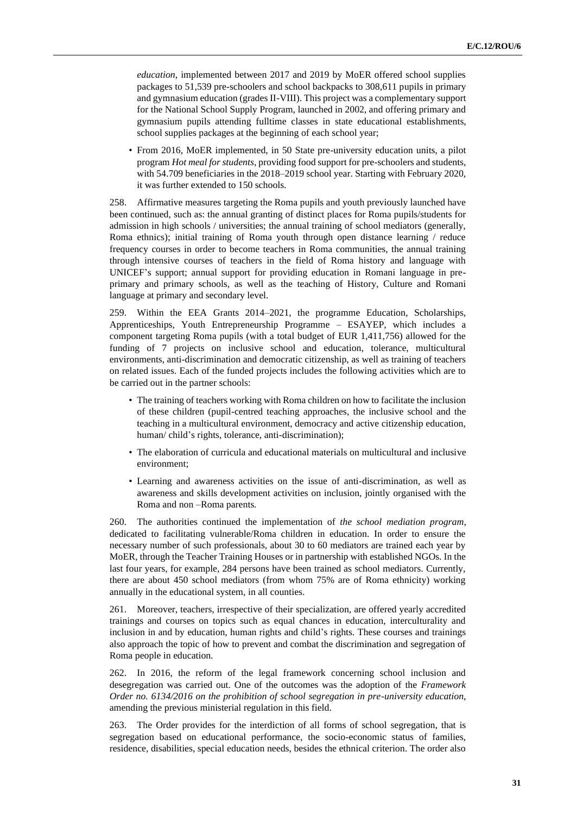*education*, implemented between 2017 and 2019 by MoER offered school supplies packages to 51,539 pre-schoolers and school backpacks to 308,611 pupils in primary and gymnasium education (grades II-VIII). This project was a complementary support for the National School Supply Program, launched in 2002, and offering primary and gymnasium pupils attending fulltime classes in state educational establishments, school supplies packages at the beginning of each school year;

• From 2016, MoER implemented, in 50 State pre-university education units, a pilot program *Hot meal for students*, providing food support for pre-schoolers and students, with 54.709 beneficiaries in the 2018–2019 school year. Starting with February 2020, it was further extended to 150 schools.

258. Affirmative measures targeting the Roma pupils and youth previously launched have been continued, such as: the annual granting of distinct places for Roma pupils/students for admission in high schools / universities; the annual training of school mediators (generally, Roma ethnics); initial training of Roma youth through open distance learning / reduce frequency courses in order to become teachers in Roma communities, the annual training through intensive courses of teachers in the field of Roma history and language with UNICEF's support; annual support for providing education in Romani language in preprimary and primary schools, as well as the teaching of History, Culture and Romani language at primary and secondary level.

259. Within the EEA Grants 2014–2021, the programme Education, Scholarships, Apprenticeships, Youth Entrepreneurship Programme – ESAYEP, which includes a component targeting Roma pupils (with a total budget of EUR 1,411,756) allowed for the funding of 7 projects on inclusive school and education, tolerance, multicultural environments, anti-discrimination and democratic citizenship, as well as training of teachers on related issues. Each of the funded projects includes the following activities which are to be carried out in the partner schools:

- The training of teachers working with Roma children on how to facilitate the inclusion of these children (pupil-centred teaching approaches, the inclusive school and the teaching in a multicultural environment, democracy and active citizenship education, human/ child's rights, tolerance, anti-discrimination);
- The elaboration of curricula and educational materials on multicultural and inclusive environment;
- Learning and awareness activities on the issue of anti-discrimination, as well as awareness and skills development activities on inclusion, jointly organised with the Roma and non –Roma parents.

260. The authorities continued the implementation of *the school mediation program*, dedicated to facilitating vulnerable/Roma children in education. In order to ensure the necessary number of such professionals, about 30 to 60 mediators are trained each year by MoER, through the Teacher Training Houses or in partnership with established NGOs. In the last four years, for example, 284 persons have been trained as school mediators. Currently, there are about 450 school mediators (from whom 75% are of Roma ethnicity) working annually in the educational system, in all counties.

261. Moreover, teachers, irrespective of their specialization, are offered yearly accredited trainings and courses on topics such as equal chances in education, interculturality and inclusion in and by education, human rights and child's rights. These courses and trainings also approach the topic of how to prevent and combat the discrimination and segregation of Roma people in education.

262. In 2016, the reform of the legal framework concerning school inclusion and desegregation was carried out. One of the outcomes was the adoption of the *Framework Order no. 6134/2016 on the prohibition of school segregation in pre-university education*, amending the previous ministerial regulation in this field.

263. The Order provides for the interdiction of all forms of school segregation, that is segregation based on educational performance, the socio-economic status of families, residence, disabilities, special education needs, besides the ethnical criterion. The order also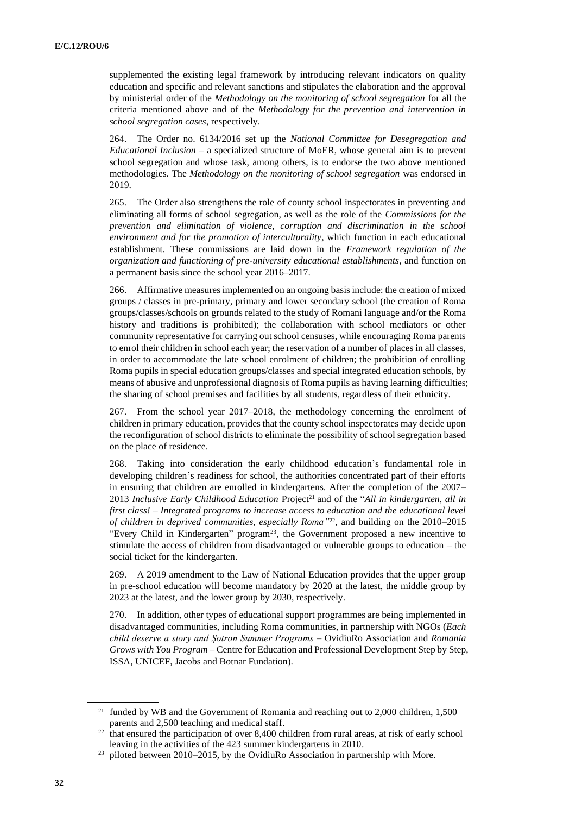supplemented the existing legal framework by introducing relevant indicators on quality education and specific and relevant sanctions and stipulates the elaboration and the approval by ministerial order of the *Methodology on the monitoring of school segregation* for all the criteria mentioned above and of the *Methodology for the prevention and intervention in school segregation cases*, respectively.

264. The Order no. 6134/2016 set up the *National Committee for Desegregation and Educational Inclusion* – a specialized structure of MoER, whose general aim is to prevent school segregation and whose task, among others, is to endorse the two above mentioned methodologies. The *Methodology on the monitoring of school segregation* was endorsed in 2019.

265. The Order also strengthens the role of county school inspectorates in preventing and eliminating all forms of school segregation, as well as the role of the *Commissions for the prevention and elimination of violence, corruption and discrimination in the school environment and for the promotion of interculturality*, which function in each educational establishment. These commissions are laid down in the *Framework regulation of the organization and functioning of pre-university educational establishments*, and function on a permanent basis since the school year 2016–2017.

266. Affirmative measures implemented on an ongoing basis include: the creation of mixed groups / classes in pre-primary, primary and lower secondary school (the creation of Roma groups/classes/schools on grounds related to the study of Romani language and/or the Roma history and traditions is prohibited); the collaboration with school mediators or other community representative for carrying out school censuses, while encouraging Roma parents to enrol their children in school each year; the reservation of a number of places in all classes, in order to accommodate the late school enrolment of children; the prohibition of enrolling Roma pupils in special education groups/classes and special integrated education schools, by means of abusive and unprofessional diagnosis of Roma pupils as having learning difficulties; the sharing of school premises and facilities by all students, regardless of their ethnicity.

267. From the school year 2017–2018, the methodology concerning the enrolment of children in primary education, provides that the county school inspectorates may decide upon the reconfiguration of school districts to eliminate the possibility of school segregation based on the place of residence.

268. Taking into consideration the early childhood education's fundamental role in developing children's readiness for school, the authorities concentrated part of their efforts in ensuring that children are enrolled in kindergartens. After the completion of the 2007– 2013 *Inclusive Early Childhood Education Project*<sup>21</sup> and of the "*All in kindergarten, all in first class! – Integrated programs to increase access to education and the educational level*  of children in deprived communities, especially Roma<sup>"22</sup>, and building on the 2010–2015 "Every Child in Kindergarten" program<sup>23</sup>, the Government proposed a new incentive to stimulate the access of children from disadvantaged or vulnerable groups to education – the social ticket for the kindergarten.

269. A 2019 amendment to the Law of National Education provides that the upper group in pre-school education will become mandatory by 2020 at the latest, the middle group by 2023 at the latest, and the lower group by 2030, respectively.

270. In addition, other types of educational support programmes are being implemented in disadvantaged communities, including Roma communities, in partnership with NGOs (*Each child deserve a story and Șotron Summer Programs* – OvidiuRo Association and *Romania Grows with You Program* – Centre for Education and Professional Development Step by Step, ISSA, UNICEF, Jacobs and Botnar Fundation).

<sup>&</sup>lt;sup>21</sup> funded by WB and the Government of Romania and reaching out to 2,000 children, 1,500 parents and 2,500 teaching and medical staff.

<sup>&</sup>lt;sup>22</sup> that ensured the participation of over 8,400 children from rural areas, at risk of early school leaving in the activities of the 423 summer kindergartens in 2010.

<sup>&</sup>lt;sup>23</sup> piloted between 2010–2015, by the OvidiuRo Association in partnership with More.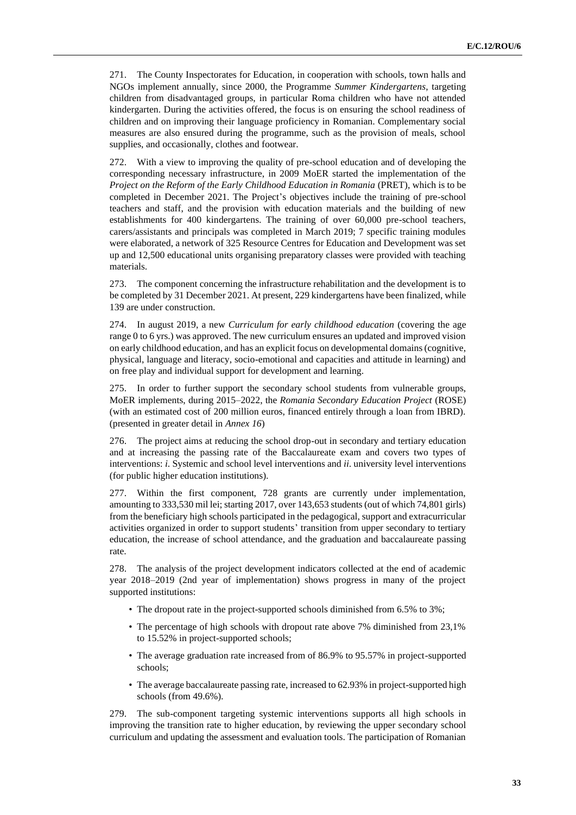271. The County Inspectorates for Education, in cooperation with schools, town halls and NGOs implement annually, since 2000, the Programme *Summer Kindergartens*, targeting children from disadvantaged groups, in particular Roma children who have not attended kindergarten. During the activities offered, the focus is on ensuring the school readiness of children and on improving their language proficiency in Romanian. Complementary social measures are also ensured during the programme, such as the provision of meals, school supplies, and occasionally, clothes and footwear.

272. With a view to improving the quality of pre-school education and of developing the corresponding necessary infrastructure, in 2009 MoER started the implementation of the *Project on the Reform of the Early Childhood Education in Romania* (PRET), which is to be completed in December 2021. The Project's objectives include the training of pre-school teachers and staff, and the provision with education materials and the building of new establishments for 400 kindergartens. The training of over 60,000 pre-school teachers, carers/assistants and principals was completed in March 2019; 7 specific training modules were elaborated, a network of 325 Resource Centres for Education and Development was set up and 12,500 educational units organising preparatory classes were provided with teaching materials.

273. The component concerning the infrastructure rehabilitation and the development is to be completed by 31 December 2021. At present, 229 kindergartens have been finalized, while 139 are under construction.

274. In august 2019, a new *Curriculum for early childhood education* (covering the age range 0 to 6 yrs.) was approved. The new curriculum ensures an updated and improved vision on early childhood education, and has an explicit focus on developmental domains (cognitive, physical, language and literacy, socio-emotional and capacities and attitude in learning) and on free play and individual support for development and learning.

275. In order to further support the secondary school students from vulnerable groups, MoER implements, during 2015–2022, the *Romania Secondary Education Project* (ROSE) (with an estimated cost of 200 million euros, financed entirely through a loan from IBRD). (presented in greater detail in *Annex 16*)

276. The project aims at reducing the school drop-out in secondary and tertiary education and at increasing the passing rate of the Baccalaureate exam and covers two types of interventions: *i*. Systemic and school level interventions and *ii*. university level interventions (for public higher education institutions).

277. Within the first component, 728 grants are currently under implementation, amounting to 333,530 mil lei; starting 2017, over 143,653 students (out of which 74,801 girls) from the beneficiary high schools participated in the pedagogical, support and extracurricular activities organized in order to support students' transition from upper secondary to tertiary education, the increase of school attendance, and the graduation and baccalaureate passing rate.

278. The analysis of the project development indicators collected at the end of academic year 2018–2019 (2nd year of implementation) shows progress in many of the project supported institutions:

- The dropout rate in the project-supported schools diminished from 6.5% to 3%;
- The percentage of high schools with dropout rate above 7% diminished from 23,1% to 15.52% in project-supported schools;
- The average graduation rate increased from of 86.9% to 95.57% in project-supported schools;
- The average baccalaureate passing rate, increased to 62.93% in project-supported high schools (from 49.6%).

279. The sub-component targeting systemic interventions supports all high schools in improving the transition rate to higher education, by reviewing the upper secondary school curriculum and updating the assessment and evaluation tools. The participation of Romanian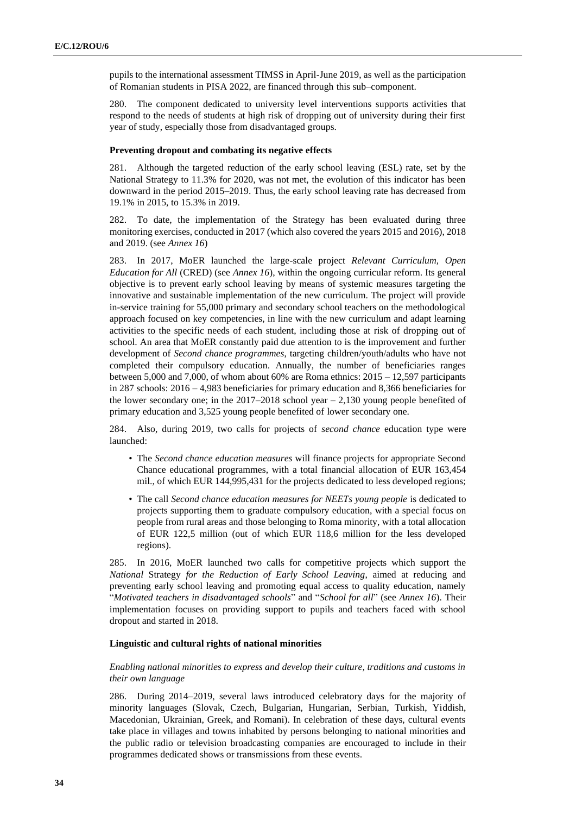pupils to the international assessment TIMSS in April-June 2019, as well as the participation of Romanian students in PISA 2022, are financed through this sub–component.

280. The component dedicated to university level interventions supports activities that respond to the needs of students at high risk of dropping out of university during their first year of study, especially those from disadvantaged groups.

#### **Preventing dropout and combating its negative effects**

281. Although the targeted reduction of the early school leaving (ESL) rate, set by the National Strategy to 11.3% for 2020, was not met, the evolution of this indicator has been downward in the period 2015–2019. Thus, the early school leaving rate has decreased from 19.1% in 2015, to 15.3% in 2019.

282. To date, the implementation of the Strategy has been evaluated during three monitoring exercises, conducted in 2017 (which also covered the years 2015 and 2016), 2018 and 2019. (see *Annex 16*)

283. In 2017, MoER launched the large-scale project *Relevant Curriculum, Open Education for All* (CRED) (see *Annex 16*), within the ongoing curricular reform. Its general objective is to prevent early school leaving by means of systemic measures targeting the innovative and sustainable implementation of the new curriculum. The project will provide in-service training for 55,000 primary and secondary school teachers on the methodological approach focused on key competencies, in line with the new curriculum and adapt learning activities to the specific needs of each student, including those at risk of dropping out of school. An area that MoER constantly paid due attention to is the improvement and further development of *Second chance programmes*, targeting children/youth/adults who have not completed their compulsory education. Annually, the number of beneficiaries ranges between 5,000 and 7,000, of whom about 60% are Roma ethnics: 2015 – 12,597 participants in 287 schools: 2016 – 4,983 beneficiaries for primary education and 8,366 beneficiaries for the lower secondary one; in the  $2017-2018$  school year  $-2,130$  young people benefited of primary education and 3,525 young people benefited of lower secondary one.

284. Also, during 2019, two calls for projects of *second chance* education type were launched:

- The *Second chance education measures* will finance projects for appropriate Second Chance educational programmes, with a total financial allocation of EUR 163,454 mil., of which EUR 144,995,431 for the projects dedicated to less developed regions;
- The call *Second chance education measures for NEETs young people* is dedicated to projects supporting them to graduate compulsory education, with a special focus on people from rural areas and those belonging to Roma minority, with a total allocation of EUR 122,5 million (out of which EUR 118,6 million for the less developed regions).

285. In 2016, MoER launched two calls for competitive projects which support the *National* Strategy *for the Reduction of Early School Leaving*, aimed at reducing and preventing early school leaving and promoting equal access to quality education, namely "*Motivated teachers in disadvantaged schools*" and "*School for all*" (see *Annex 16*). Their implementation focuses on providing support to pupils and teachers faced with school dropout and started in 2018.

#### **Linguistic and cultural rights of national minorities**

#### *Enabling national minorities to express and develop their culture, traditions and customs in their own language*

286. During 2014–2019, several laws introduced celebratory days for the majority of minority languages (Slovak, Czech, Bulgarian, Hungarian, Serbian, Turkish, Yiddish, Macedonian, Ukrainian, Greek, and Romani). In celebration of these days, cultural events take place in villages and towns inhabited by persons belonging to national minorities and the public radio or television broadcasting companies are encouraged to include in their programmes dedicated shows or transmissions from these events.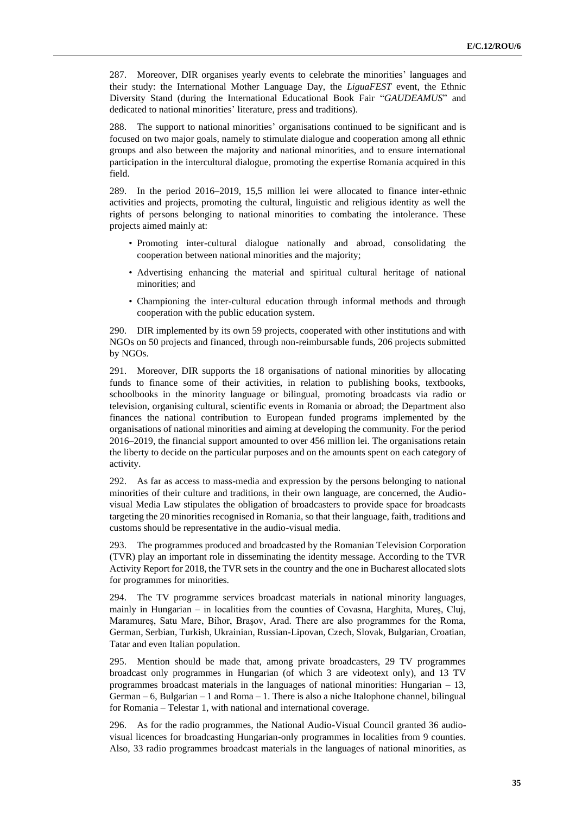287. Moreover, DIR organises yearly events to celebrate the minorities' languages and their study: the International Mother Language Day, the *LiguaFEST* event, the Ethnic Diversity Stand (during the International Educational Book Fair "*GAUDEAMUS*" and dedicated to national minorities' literature, press and traditions).

288. The support to national minorities' organisations continued to be significant and is focused on two major goals, namely to stimulate dialogue and cooperation among all ethnic groups and also between the majority and national minorities, and to ensure international participation in the intercultural dialogue, promoting the expertise Romania acquired in this field.

289. In the period 2016–2019, 15,5 million lei were allocated to finance inter-ethnic activities and projects, promoting the cultural, linguistic and religious identity as well the rights of persons belonging to national minorities to combating the intolerance. These projects aimed mainly at:

- Promoting inter-cultural dialogue nationally and abroad, consolidating the cooperation between national minorities and the majority;
- Advertising enhancing the material and spiritual cultural heritage of national minorities; and
- Championing the inter-cultural education through informal methods and through cooperation with the public education system.

290. DIR implemented by its own 59 projects, cooperated with other institutions and with NGOs on 50 projects and financed, through non-reimbursable funds, 206 projects submitted by NGOs.

291. Moreover, DIR supports the 18 organisations of national minorities by allocating funds to finance some of their activities, in relation to publishing books, textbooks, schoolbooks in the minority language or bilingual, promoting broadcasts via radio or television, organising cultural, scientific events in Romania or abroad; the Department also finances the national contribution to European funded programs implemented by the organisations of national minorities and aiming at developing the community. For the period 2016–2019, the financial support amounted to over 456 million lei. The organisations retain the liberty to decide on the particular purposes and on the amounts spent on each category of activity.

292. As far as access to mass-media and expression by the persons belonging to national minorities of their culture and traditions, in their own language, are concerned, the Audiovisual Media Law stipulates the obligation of broadcasters to provide space for broadcasts targeting the 20 minorities recognised in Romania, so that their language, faith, traditions and customs should be representative in the audio-visual media.

293. The programmes produced and broadcasted by the Romanian Television Corporation (TVR) play an important role in disseminating the identity message. According to the TVR Activity Report for 2018, the TVR sets in the country and the one in Bucharest allocated slots for programmes for minorities.

294. The TV programme services broadcast materials in national minority languages, mainly in Hungarian – in localities from the counties of Covasna, Harghita, Mureş, Cluj, Maramureş, Satu Mare, Bihor, Braşov, Arad. There are also programmes for the Roma, German, Serbian, Turkish, Ukrainian, Russian-Lipovan, Czech, Slovak, Bulgarian, Croatian, Tatar and even Italian population.

295. Mention should be made that, among private broadcasters, 29 TV programmes broadcast only programmes in Hungarian (of which 3 are videotext only), and 13 TV programmes broadcast materials in the languages of national minorities: Hungarian – 13, German – 6, Bulgarian – 1 and Roma – 1. There is also a niche Italophone channel, bilingual for Romania – Telestar 1, with national and international coverage.

296. As for the radio programmes, the National Audio-Visual Council granted 36 audiovisual licences for broadcasting Hungarian-only programmes in localities from 9 counties. Also, 33 radio programmes broadcast materials in the languages of national minorities, as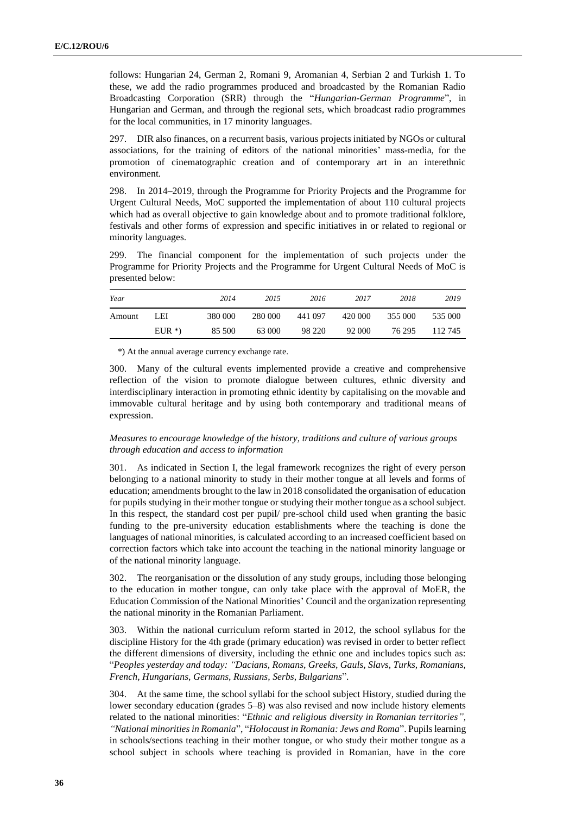follows: Hungarian 24, German 2, Romani 9, Aromanian 4, Serbian 2 and Turkish 1. To these, we add the radio programmes produced and broadcasted by the Romanian Radio Broadcasting Corporation (SRR) through the "*Hungarian-German Programme*", in Hungarian and German, and through the regional sets, which broadcast radio programmes for the local communities, in 17 minority languages.

297. DIR also finances, on a recurrent basis, various projects initiated by NGOs or cultural associations, for the training of editors of the national minorities' mass-media, for the promotion of cinematographic creation and of contemporary art in an interethnic environment.

298. In 2014–2019, through the Programme for Priority Projects and the Programme for Urgent Cultural Needs, MoC supported the implementation of about 110 cultural projects which had as overall objective to gain knowledge about and to promote traditional folklore, festivals and other forms of expression and specific initiatives in or related to regional or minority languages.

299. The financial component for the implementation of such projects under the Programme for Priority Projects and the Programme for Urgent Cultural Needs of MoC is presented below:

| Year   |         | 2014    | 2015    | 2016    | 2017    | 2018    | 2019    |
|--------|---------|---------|---------|---------|---------|---------|---------|
| Amount | LEI     | 380 000 | 280 000 | 441 097 | 420 000 | 355 000 | 535 000 |
|        | $EUR^*$ | 85 500  | 63 000  | 98 220  | 92 000  | 76 295  | 112.745 |

\*) At the annual average currency exchange rate.

300. Many of the cultural events implemented provide a creative and comprehensive reflection of the vision to promote dialogue between cultures, ethnic diversity and interdisciplinary interaction in promoting ethnic identity by capitalising on the movable and immovable cultural heritage and by using both contemporary and traditional means of expression.

### *Measures to encourage knowledge of the history, traditions and culture of various groups through education and access to information*

301. As indicated in Section I, the legal framework recognizes the right of every person belonging to a national minority to study in their mother tongue at all levels and forms of education; amendments brought to the law in 2018 consolidated the organisation of education for pupils studying in their mother tongue or studying their mother tongue as a school subject. In this respect, the standard cost per pupil/ pre-school child used when granting the basic funding to the pre-university education establishments where the teaching is done the languages of national minorities, is calculated according to an increased coefficient based on correction factors which take into account the teaching in the national minority language or of the national minority language.

302. The reorganisation or the dissolution of any study groups, including those belonging to the education in mother tongue, can only take place with the approval of MoER, the Education Commission of the National Minorities' Council and the organization representing the national minority in the Romanian Parliament.

303. Within the national curriculum reform started in 2012, the school syllabus for the discipline History for the 4th grade (primary education) was revised in order to better reflect the different dimensions of diversity, including the ethnic one and includes topics such as: "*Peoples yesterday and today: "Dacians, Romans, Greeks, Gauls, Slavs, Turks, Romanians, French, Hungarians, Germans, Russians, Serbs, Bulgarians*".

304. At the same time, the school syllabi for the school subject History, studied during the lower secondary education (grades 5–8) was also revised and now include history elements related to the national minorities: "*Ethnic and religious diversity in Romanian territories", "National minorities in Romania*", "*Holocaust in Romania: Jews and Roma*". Pupils learning in schools/sections teaching in their mother tongue, or who study their mother tongue as a school subject in schools where teaching is provided in Romanian, have in the core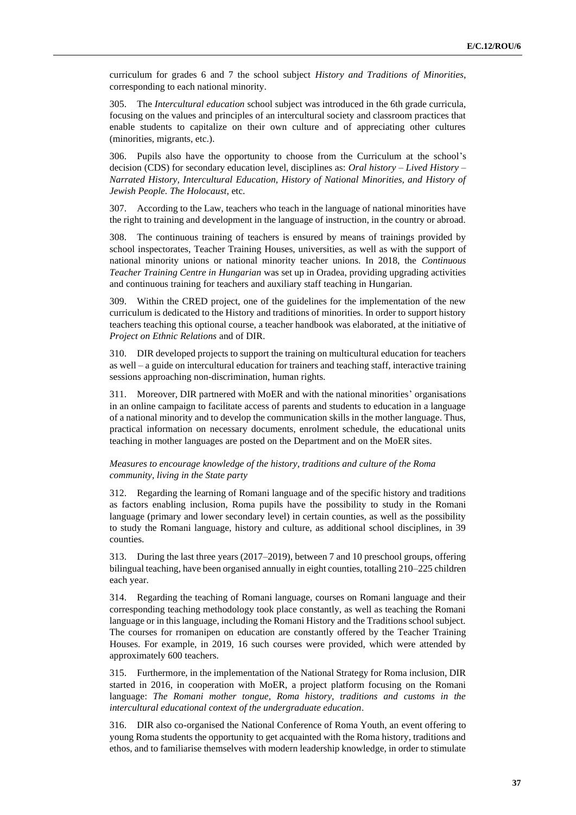curriculum for grades 6 and 7 the school subject *History and Traditions of Minorities*, corresponding to each national minority.

305. The *Intercultural education* school subject was introduced in the 6th grade curricula, focusing on the values and principles of an intercultural society and classroom practices that enable students to capitalize on their own culture and of appreciating other cultures (minorities, migrants, etc.).

306. Pupils also have the opportunity to choose from the Curriculum at the school's decision (CDS) for secondary education level, disciplines as: *Oral history – Lived History – Narrated History, Intercultural Education, History of National Minorities, and History of Jewish People. The Holocaust*, etc.

307. According to the Law, teachers who teach in the language of national minorities have the right to training and development in the language of instruction, in the country or abroad.

308. The continuous training of teachers is ensured by means of trainings provided by school inspectorates, Teacher Training Houses, universities, as well as with the support of national minority unions or national minority teacher unions. In 2018, the *Continuous Teacher Training Centre in Hungarian* was set up in Oradea, providing upgrading activities and continuous training for teachers and auxiliary staff teaching in Hungarian.

309. Within the CRED project, one of the guidelines for the implementation of the new curriculum is dedicated to the History and traditions of minorities. In order to support history teachers teaching this optional course, a teacher handbook was elaborated, at the initiative of *Project on Ethnic Relations* and of DIR.

310. DIR developed projects to support the training on multicultural education for teachers as well – a guide on intercultural education for trainers and teaching staff, interactive training sessions approaching non-discrimination, human rights.

311. Moreover, DIR partnered with MoER and with the national minorities' organisations in an online campaign to facilitate access of parents and students to education in a language of a national minority and to develop the communication skills in the mother language. Thus, practical information on necessary documents, enrolment schedule, the educational units teaching in mother languages are posted on the Department and on the MoER sites.

#### *Measures to encourage knowledge of the history, traditions and culture of the Roma community, living in the State party*

312. Regarding the learning of Romani language and of the specific history and traditions as factors enabling inclusion, Roma pupils have the possibility to study in the Romani language (primary and lower secondary level) in certain counties, as well as the possibility to study the Romani language, history and culture, as additional school disciplines, in 39 counties.

313. During the last three years (2017–2019), between 7 and 10 preschool groups, offering bilingual teaching, have been organised annually in eight counties, totalling 210–225 children each year.

314. Regarding the teaching of Romani language, courses on Romani language and their corresponding teaching methodology took place constantly, as well as teaching the Romani language or in this language, including the Romani History and the Traditions school subject. The courses for rromanipen on education are constantly offered by the Teacher Training Houses. For example, in 2019, 16 such courses were provided, which were attended by approximately 600 teachers.

315. Furthermore, in the implementation of the National Strategy for Roma inclusion, DIR started in 2016, in cooperation with MoER, a project platform focusing on the Romani language: *The Romani mother tongue, Roma history, traditions and customs in the intercultural educational context of the undergraduate education*.

316. DIR also co-organised the National Conference of Roma Youth, an event offering to young Roma students the opportunity to get acquainted with the Roma history, traditions and ethos, and to familiarise themselves with modern leadership knowledge, in order to stimulate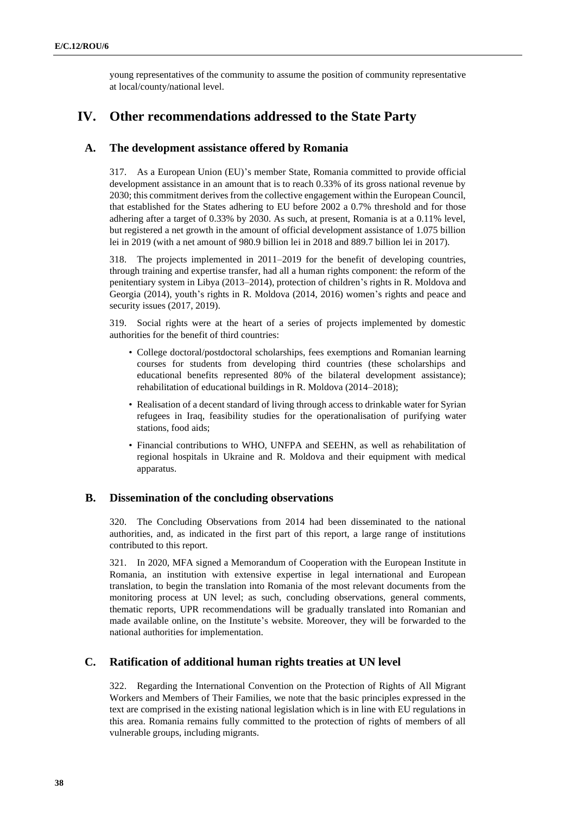young representatives of the community to assume the position of community representative at local/county/national level.

# **IV. Other recommendations addressed to the State Party**

# **A. The development assistance offered by Romania**

317. As a European Union (EU)'s member State, Romania committed to provide official development assistance in an amount that is to reach 0.33% of its gross national revenue by 2030; this commitment derives from the collective engagement within the European Council, that established for the States adhering to EU before 2002 a 0.7% threshold and for those adhering after a target of 0.33% by 2030. As such, at present, Romania is at a 0.11% level, but registered a net growth in the amount of official development assistance of 1.075 billion lei in 2019 (with a net amount of 980.9 billion lei in 2018 and 889.7 billion lei in 2017).

318. The projects implemented in 2011–2019 for the benefit of developing countries, through training and expertise transfer, had all a human rights component: the reform of the penitentiary system in Libya (2013–2014), protection of children's rights in R. Moldova and Georgia (2014), youth's rights in R. Moldova (2014, 2016) women's rights and peace and security issues (2017, 2019).

319. Social rights were at the heart of a series of projects implemented by domestic authorities for the benefit of third countries:

- College doctoral/postdoctoral scholarships, fees exemptions and Romanian learning courses for students from developing third countries (these scholarships and educational benefits represented 80% of the bilateral development assistance); rehabilitation of educational buildings in R. Moldova (2014–2018);
- Realisation of a decent standard of living through access to drinkable water for Syrian refugees in Iraq, feasibility studies for the operationalisation of purifying water stations, food aids;
- Financial contributions to WHO, UNFPA and SEEHN, as well as rehabilitation of regional hospitals in Ukraine and R. Moldova and their equipment with medical apparatus.

# **B. Dissemination of the concluding observations**

320. The Concluding Observations from 2014 had been disseminated to the national authorities, and, as indicated in the first part of this report, a large range of institutions contributed to this report.

321. In 2020, MFA signed a Memorandum of Cooperation with the European Institute in Romania, an institution with extensive expertise in legal international and European translation, to begin the translation into Romania of the most relevant documents from the monitoring process at UN level; as such, concluding observations, general comments, thematic reports, UPR recommendations will be gradually translated into Romanian and made available online, on the Institute's website. Moreover, they will be forwarded to the national authorities for implementation.

# **C. Ratification of additional human rights treaties at UN level**

322. Regarding the International Convention on the Protection of Rights of All Migrant Workers and Members of Their Families, we note that the basic principles expressed in the text are comprised in the existing national legislation which is in line with EU regulations in this area. Romania remains fully committed to the protection of rights of members of all vulnerable groups, including migrants.